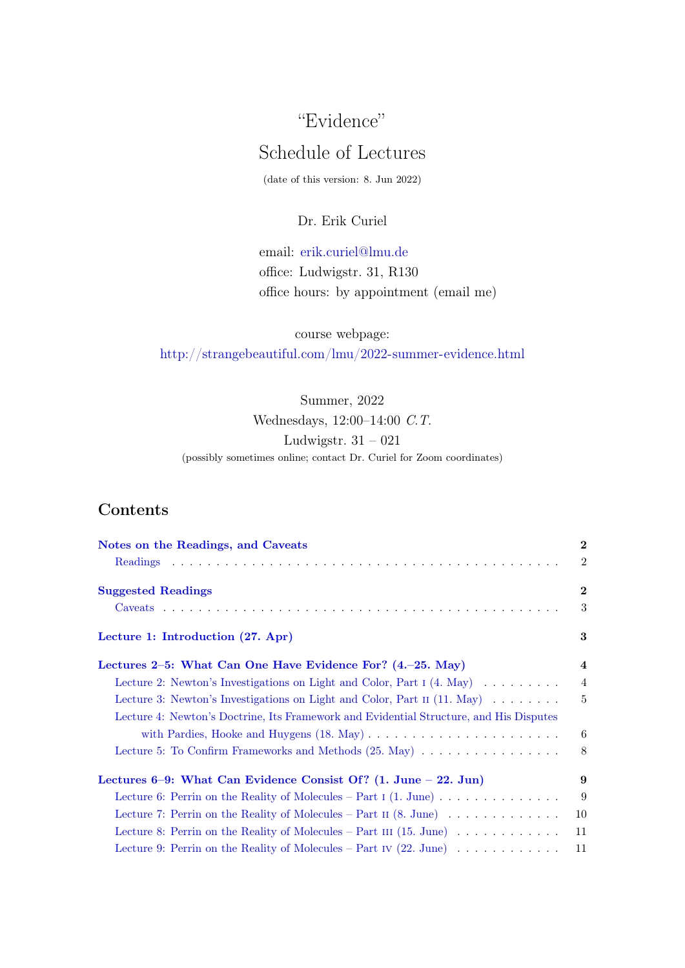# <span id="page-0-0"></span>"Evidence" Schedule of Lectures

(date of this version: 8. Jun 2022)

Dr. Erik Curiel

email: [erik.curiel@lmu.de](mailto:erik.curiel@lmu.de) office: Ludwigstr. 31, R130 office hours: by appointment (email me)

course webpage: <http://strangebeautiful.com/lmu/2022-summer-evidence.html>

Summer, 2022 Wednesdays, 12:00–14:00 C.T. Ludwigstr.  $31 - 021$ (possibly sometimes online; contact Dr. Curiel for Zoom coordinates)

## Contents

| Notes on the Readings, and Caveats                                                                   | $\bf{2}$         |
|------------------------------------------------------------------------------------------------------|------------------|
|                                                                                                      | $\overline{2}$   |
| <b>Suggested Readings</b>                                                                            | $\bf{2}$         |
|                                                                                                      | $\boldsymbol{3}$ |
| Lecture 1: Introduction (27. Apr)                                                                    | 3                |
| Lectures 2-5: What Can One Have Evidence For? (4.–25. May)                                           | $\overline{4}$   |
| Lecture 2: Newton's Investigations on Light and Color, Part $I(4. May) \dots \dots \dots$            | $\overline{4}$   |
| Lecture 3: Newton's Investigations on Light and Color, Part II (11. May)                             | 5                |
| Lecture 4: Newton's Doctrine, Its Framework and Evidential Structure, and His Disputes               |                  |
|                                                                                                      | 6                |
|                                                                                                      | 8                |
| Lectures $6-9$ : What Can Evidence Consist Of? (1. June – 22. Jun)                                   | 9                |
|                                                                                                      | 9                |
| Lecture 7: Perrin on the Reality of Molecules – Part II $(8. \text{ June}) \dots \dots \dots \dots$  | 10               |
|                                                                                                      | 11               |
| Lecture 9: Perrin on the Reality of Molecules – Part IV $(22. \text{ June}) \dots \dots \dots \dots$ | 11               |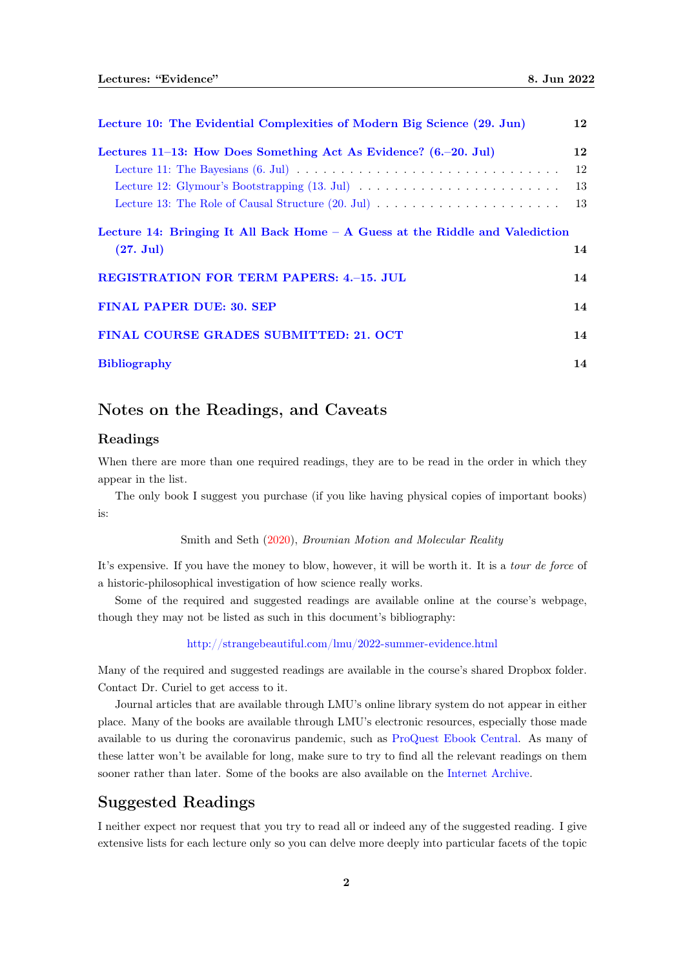| Lecture 10: The Evidential Complexities of Modern Big Science (29. Jun)                              | 12 |
|------------------------------------------------------------------------------------------------------|----|
| Lectures 11–13: How Does Something Act As Evidence? (6.–20. Jul)                                     | 12 |
|                                                                                                      | 12 |
|                                                                                                      | 13 |
|                                                                                                      | 13 |
| Lecture 14: Bringing It All Back Home - A Guess at the Riddle and Valediction<br>$(27. \text{ Jul})$ | 14 |
| <b>REGISTRATION FOR TERM PAPERS: 4.-15. JUL</b>                                                      | 14 |
| <b>FINAL PAPER DUE: 30. SEP</b>                                                                      | 14 |
| FINAL COURSE GRADES SUBMITTED: 21, OCT                                                               | 14 |
| <b>Bibliography</b>                                                                                  | 14 |

## Notes on the Readings, and Caveats

#### Readings

<span id="page-1-0"></span>When there are more than one required readings, they are to be read in the order in which they appear in the list.

The only book I suggest you purchase (if you like having physical copies of important books) is:

Smith and Seth [\(2020\)](#page-23-0), Brownian Motion and Molecular Reality

It's expensive. If you have the money to blow, however, it will be worth it. It is a *tour de force* of a historic-philosophical investigation of how science really works.

Some of the required and suggested readings are available online at the course's webpage, though they may not be listed as such in this document's bibliography:

<http://strangebeautiful.com/lmu/2022-summer-evidence.html>

Many of the required and suggested readings are available in the course's shared Dropbox folder. Contact Dr. Curiel to get access to it.

Journal articles that are available through LMU's online library system do not appear in either place. Many of the books are available through LMU's electronic resources, especially those made available to us during the coronavirus pandemic, such as [ProQuest Ebook Central.](https://ebookcentral.proquest.com/lib/ub-lmu/browseSubject.action) As many of these latter won't be available for long, make sure to try to find all the relevant readings on them sooner rather than later. Some of the books are also available on the [Internet Archive.](https://archive.org/)

## <span id="page-1-1"></span>Suggested Readings

I neither expect nor request that you try to read all or indeed any of the suggested reading. I give extensive lists for each lecture only so you can delve more deeply into particular facets of the topic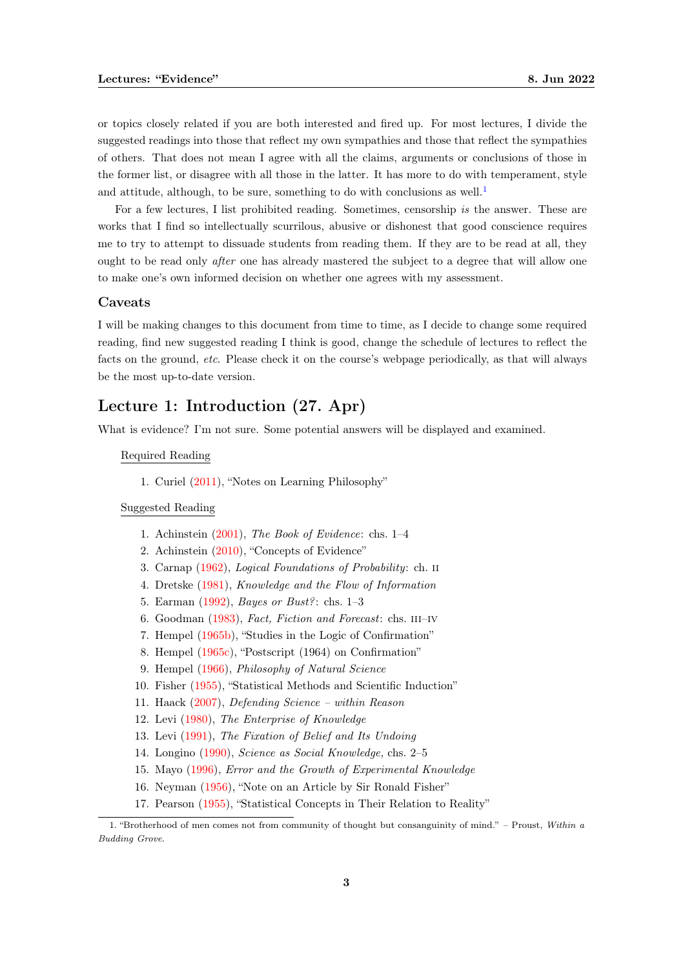or topics closely related if you are both interested and fired up. For most lectures, I divide the suggested readings into those that reflect my own sympathies and those that reflect the sympathies of others. That does not mean I agree with all the claims, arguments or conclusions of those in the former list, or disagree with all those in the latter. It has more to do with temperament, style and attitude, although, to be sure, something to do with conclusions as well.<sup>[1](#page-2-1)</sup>

For a few lectures, I list prohibited reading. Sometimes, censorship is the answer. These are works that I find so intellectually scurrilous, abusive or dishonest that good conscience requires me to try to attempt to dissuade students from reading them. If they are to be read at all, they ought to be read only *after* one has already mastered the subject to a degree that will allow one to make one's own informed decision on whether one agrees with my assessment.

#### Caveats

<span id="page-2-0"></span>I will be making changes to this document from time to time, as I decide to change some required reading, find new suggested reading I think is good, change the schedule of lectures to reflect the facts on the ground, etc. Please check it on the course's webpage periodically, as that will always be the most up-to-date version.

### Lecture 1: Introduction (27. Apr)

What is evidence? I'm not sure. Some potential answers will be displayed and examined.

#### Required Reading

1. Curiel [\(2011\)](#page-15-0), "Notes on Learning Philosophy"

#### Suggested Reading

- 1. Achinstein [\(2001\)](#page-14-0), The Book of Evidence: chs. 1–4
- 2. Achinstein [\(2010\)](#page-14-1), "Concepts of Evidence"
- 3. Carnap [\(1962\)](#page-14-2), Logical Foundations of Probability: ch. ii
- 4. Dretske [\(1981\)](#page-16-0), Knowledge and the Flow of Information
- 5. Earman [\(1992\)](#page-16-1), Bayes or Bust? : chs. 1–3
- 6. Goodman [\(1983\)](#page-17-0), Fact, Fiction and Forecast: chs. iii–iv
- 7. Hempel [\(1965b\)](#page-17-1), "Studies in the Logic of Confirmation"
- 8. Hempel [\(1965c\)](#page-17-2), "Postscript (1964) on Confirmation"
- 9. Hempel [\(1966\)](#page-17-3), Philosophy of Natural Science
- 10. Fisher [\(1955\)](#page-16-2), "Statistical Methods and Scientific Induction"
- 11. Haack [\(2007\)](#page-17-4), Defending Science within Reason
- 12. Levi [\(1980\)](#page-19-0), The Enterprise of Knowledge
- 13. Levi [\(1991\)](#page-19-1), The Fixation of Belief and Its Undoing
- 14. Longino [\(1990\)](#page-19-2), Science as Social Knowledge, chs. 2–5
- 15. Mayo [\(1996\)](#page-20-0), Error and the Growth of Experimental Knowledge
- 16. Neyman [\(1956\)](#page-21-0), "Note on an Article by Sir Ronald Fisher"
- <span id="page-2-1"></span>17. Pearson [\(1955\)](#page-21-1), "Statistical Concepts in Their Relation to Reality"

<sup>1. &</sup>quot;Brotherhood of men comes not from community of thought but consanguinity of mind." – Proust, Within a Budding Grove.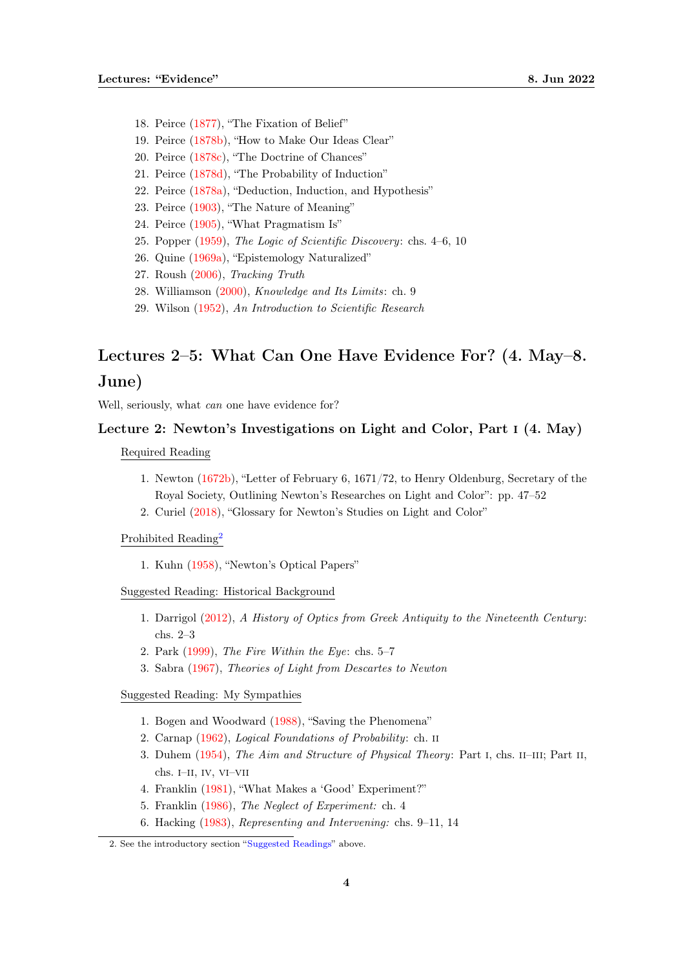- 18. Peirce [\(1877\)](#page-21-2), "The Fixation of Belief"
- 19. Peirce [\(1878b\)](#page-21-3), "How to Make Our Ideas Clear"
- 20. Peirce [\(1878c\)](#page-21-4), "The Doctrine of Chances"
- 21. Peirce [\(1878d\)](#page-22-0), "The Probability of Induction"
- 22. Peirce [\(1878a\)](#page-21-5), "Deduction, Induction, and Hypothesis"
- 23. Peirce [\(1903\)](#page-22-1), "The Nature of Meaning"
- 24. Peirce [\(1905\)](#page-22-2), "What Pragmatism Is"
- 25. Popper [\(1959\)](#page-22-3), The Logic of Scientific Discovery: chs. 4–6, 10
- 26. Quine [\(1969a\)](#page-22-4), "Epistemology Naturalized"
- 27. Roush [\(2006\)](#page-22-5), Tracking Truth
- <span id="page-3-0"></span>28. Williamson [\(2000\)](#page-24-0), Knowledge and Its Limits: ch. 9
- 29. Wilson [\(1952\)](#page-25-0), An Introduction to Scientific Research

## Lectures 2–5: What Can One Have Evidence For? (4. May–8. June)

Well, seriously, what *can* one have evidence for?

#### <span id="page-3-1"></span>Lecture 2: Newton's Investigations on Light and Color, Part i (4. May)

#### Required Reading

- 1. Newton [\(1672b\)](#page-20-1), "Letter of February 6, 1671/72, to Henry Oldenburg, Secretary of the Royal Society, Outlining Newton's Researches on Light and Color": pp. 47–52
- 2. Curiel [\(2018\)](#page-15-1), "Glossary for Newton's Studies on Light and Color"

#### Prohibited Reading<sup>[2](#page-3-2)</sup>

1. Kuhn [\(1958\)](#page-18-0), "Newton's Optical Papers"

Suggested Reading: Historical Background

- 1. Darrigol [\(2012\)](#page-15-2), A History of Optics from Greek Antiquity to the Nineteenth Century: chs. 2–3
- 2. Park [\(1999\)](#page-21-6), The Fire Within the Eye: chs. 5–7
- 3. Sabra [\(1967\)](#page-22-6), Theories of Light from Descartes to Newton

- 1. Bogen and Woodward [\(1988\)](#page-14-3), "Saving the Phenomena"
- 2. Carnap [\(1962\)](#page-14-2), Logical Foundations of Probability: ch. ii
- 3. Duhem [\(1954\)](#page-16-3), The Aim and Structure of Physical Theory: Part i, chs. ii–iii; Part ii, chs. I–II, IV, VI–VII
- 4. Franklin [\(1981\)](#page-16-4), "What Makes a 'Good' Experiment?"
- 5. Franklin [\(1986\)](#page-16-5), The Neglect of Experiment: ch. 4
- 6. Hacking [\(1983\)](#page-17-5), Representing and Intervening: chs. 9–11, 14

<span id="page-3-2"></span><sup>2.</sup> See the introductory section ["Suggested Readings"](#page-1-1) above.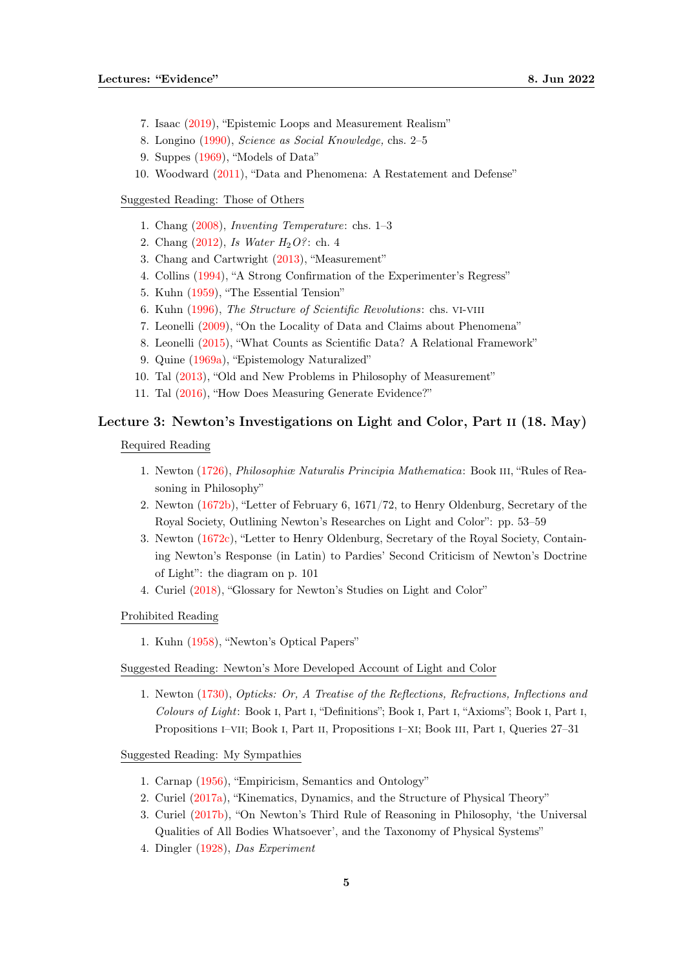- 7. Isaac [\(2019\)](#page-18-1), "Epistemic Loops and Measurement Realism"
- 8. Longino [\(1990\)](#page-19-2), Science as Social Knowledge, chs. 2–5
- 9. Suppes [\(1969\)](#page-24-1), "Models of Data"
- 10. Woodward [\(2011\)](#page-25-1), "Data and Phenomena: A Restatement and Defense"

- 1. Chang [\(2008\)](#page-15-3), Inventing Temperature: chs. 1–3
- 2. Chang  $(2012)$ , *Is Water H*<sub>2</sub>*O*?: ch. 4
- 3. Chang and Cartwright [\(2013\)](#page-15-5), "Measurement"
- 4. Collins [\(1994\)](#page-15-6), "A Strong Confirmation of the Experimenter's Regress"
- 5. Kuhn [\(1959\)](#page-18-2), "The Essential Tension"
- 6. Kuhn [\(1996\)](#page-19-3), The Structure of Scientific Revolutions: chs. vi-viii
- 7. Leonelli [\(2009\)](#page-19-4), "On the Locality of Data and Claims about Phenomena"
- 8. Leonelli [\(2015\)](#page-19-5), "What Counts as Scientific Data? A Relational Framework"
- 9. Quine [\(1969a\)](#page-22-4), "Epistemology Naturalized"
- <span id="page-4-0"></span>10. Tal [\(2013\)](#page-24-2), "Old and New Problems in Philosophy of Measurement"
- 11. Tal [\(2016\)](#page-24-3), "How Does Measuring Generate Evidence?"

#### Lecture 3: Newton's Investigations on Light and Color, Part ii (18. May)

Required Reading

- 1. Newton [\(1726\)](#page-21-7), Philosophiæ Naturalis Principia Mathematica: Book III, "Rules of Reasoning in Philosophy"
- 2. Newton [\(1672b\)](#page-20-1), "Letter of February 6, 1671/72, to Henry Oldenburg, Secretary of the Royal Society, Outlining Newton's Researches on Light and Color": pp. 53–59
- 3. Newton [\(1672c\)](#page-20-2), "Letter to Henry Oldenburg, Secretary of the Royal Society, Containing Newton's Response (in Latin) to Pardies' Second Criticism of Newton's Doctrine of Light": the diagram on p. 101
- 4. Curiel [\(2018\)](#page-15-1), "Glossary for Newton's Studies on Light and Color"

#### Prohibited Reading

1. Kuhn [\(1958\)](#page-18-0), "Newton's Optical Papers"

#### Suggested Reading: Newton's More Developed Account of Light and Color

1. Newton [\(1730\)](#page-21-8), Opticks: Or, A Treatise of the Reflections, Refractions, Inflections and Colours of Light: Book i, Part i, "Definitions"; Book i, Part i, "Axioms"; Book i, Part i, Propositions i–vii; Book i, Part ii, Propositions i–xi; Book iii, Part i, Queries 27–31

- 1. Carnap [\(1956\)](#page-14-4), "Empiricism, Semantics and Ontology"
- 2. Curiel [\(2017a\)](#page-15-7), "Kinematics, Dynamics, and the Structure of Physical Theory"
- 3. Curiel [\(2017b\)](#page-15-8), "On Newton's Third Rule of Reasoning in Philosophy, 'the Universal Qualities of All Bodies Whatsoever', and the Taxonomy of Physical Systems"
- 4. Dingler [\(1928\)](#page-16-6), Das Experiment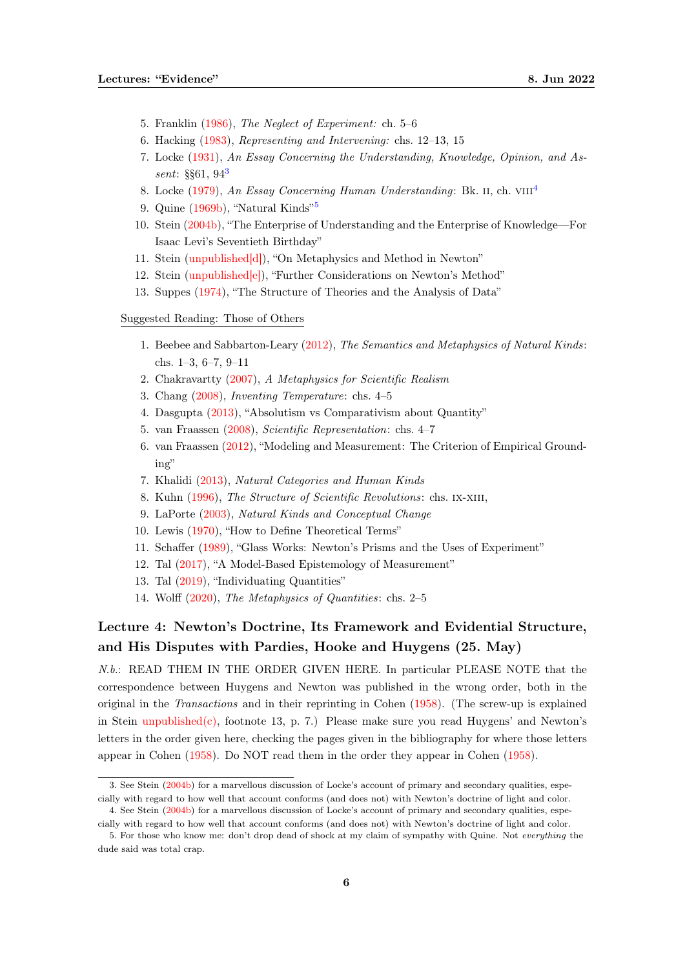- 5. Franklin [\(1986\)](#page-16-5), The Neglect of Experiment: ch. 5–6
- 6. Hacking [\(1983\)](#page-17-5), Representing and Intervening: chs. 12–13, 15
- 7. Locke [\(1931\)](#page-19-6), An Essay Concerning the Understanding, Knowledge, Opinion, and Assent: §§61, 94[3](#page-5-1)
- 8. Locke [\(1979\)](#page-19-7), An Essay Concerning Human Understanding: Bk. II, ch. VIII<sup>[4](#page-5-2)</sup>
- 9. Quine [\(1969b\)](#page-22-7), "Natural Kinds"<sup>[5](#page-5-3)</sup>
- 10. Stein [\(2004b\)](#page-23-1), "The Enterprise of Understanding and the Enterprise of Knowledge—For Isaac Levi's Seventieth Birthday"
- 11. Stein [\(unpublished\[d\]\)](#page-24-4), "On Metaphysics and Method in Newton"
- 12. Stein [\(unpublished\[e\]\)](#page-24-5), "Further Considerations on Newton's Method"
- 13. Suppes [\(1974\)](#page-24-6), "The Structure of Theories and the Analysis of Data"

- 1. Beebee and Sabbarton-Leary [\(2012\)](#page-14-5), The Semantics and Metaphysics of Natural Kinds: chs. 1–3, 6–7, 9–11
- 2. Chakravartty [\(2007\)](#page-15-9), A Metaphysics for Scientific Realism
- 3. Chang [\(2008\)](#page-15-3), Inventing Temperature: chs. 4–5
- 4. Dasgupta [\(2013\)](#page-16-7), "Absolutism vs Comparativism about Quantity"
- 5. van Fraassen [\(2008\)](#page-16-8), Scientific Representation: chs. 4–7
- 6. van Fraassen [\(2012\)](#page-16-9), "Modeling and Measurement: The Criterion of Empirical Grounding"
- 7. Khalidi [\(2013\)](#page-18-3), Natural Categories and Human Kinds
- 8. Kuhn [\(1996\)](#page-19-3), The Structure of Scientific Revolutions: chs. IX-XIII,
- 9. LaPorte [\(2003\)](#page-19-8), Natural Kinds and Conceptual Change
- 10. Lewis [\(1970\)](#page-19-9), "How to Define Theoretical Terms"
- 11. Schaffer [\(1989\)](#page-22-8), "Glass Works: Newton's Prisms and the Uses of Experiment"
- 12. Tal [\(2017\)](#page-24-7), "A Model-Based Epistemology of Measurement"
- <span id="page-5-0"></span>13. Tal [\(2019\)](#page-24-8), "Individuating Quantities"
- 14. Wolff [\(2020\)](#page-25-2), The Metaphysics of Quantities: chs. 2–5

## Lecture 4: Newton's Doctrine, Its Framework and Evidential Structure, and His Disputes with Pardies, Hooke and Huygens (25. May)

N.b.: READ THEM IN THE ORDER GIVEN HERE. In particular PLEASE NOTE that the correspondence between Huygens and Newton was published in the wrong order, both in the original in the Transactions and in their reprinting in Cohen [\(1958\)](#page-15-10). (The screw-up is explained in Stein unpublished $(c)$ , footnote 13, p. 7.) Please make sure you read Huygens' and Newton's letters in the order given here, checking the pages given in the bibliography for where those letters appear in Cohen [\(1958\)](#page-15-10). Do NOT read them in the order they appear in Cohen [\(1958\)](#page-15-10).

<span id="page-5-1"></span><sup>3.</sup> See Stein [\(2004b\)](#page-23-1) for a marvellous discussion of Locke's account of primary and secondary qualities, especially with regard to how well that account conforms (and does not) with Newton's doctrine of light and color.

<span id="page-5-2"></span><sup>4.</sup> See Stein [\(2004b\)](#page-23-1) for a marvellous discussion of Locke's account of primary and secondary qualities, especially with regard to how well that account conforms (and does not) with Newton's doctrine of light and color.

<span id="page-5-3"></span><sup>5.</sup> For those who know me: don't drop dead of shock at my claim of sympathy with Quine. Not everything the dude said was total crap.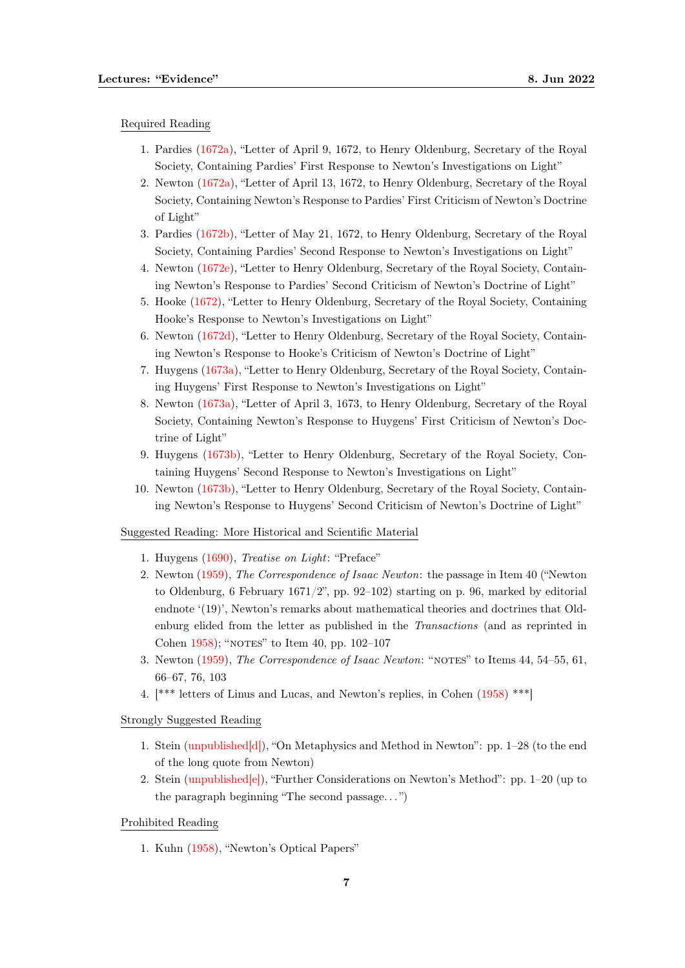#### Required Reading

- 1. Pardies [\(1672a\)](#page-21-9), "Letter of April 9, 1672, to Henry Oldenburg, Secretary of the Royal Society, Containing Pardies' First Response to Newton's Investigations on Light"
- 2. Newton [\(1672a\)](#page-20-3), "Letter of April 13, 1672, to Henry Oldenburg, Secretary of the Royal Society, Containing Newton's Response to Pardies' First Criticism of Newton's Doctrine of Light"
- 3. Pardies [\(1672b\)](#page-21-10), "Letter of May 21, 1672, to Henry Oldenburg, Secretary of the Royal Society, Containing Pardies' Second Response to Newton's Investigations on Light"
- 4. Newton [\(1672e\)](#page-20-4), "Letter to Henry Oldenburg, Secretary of the Royal Society, Containing Newton's Response to Pardies' Second Criticism of Newton's Doctrine of Light"
- 5. Hooke [\(1672\)](#page-18-4), "Letter to Henry Oldenburg, Secretary of the Royal Society, Containing Hooke's Response to Newton's Investigations on Light"
- 6. Newton [\(1672d\)](#page-20-5), "Letter to Henry Oldenburg, Secretary of the Royal Society, Containing Newton's Response to Hooke's Criticism of Newton's Doctrine of Light"
- 7. Huygens [\(1673a\)](#page-18-5), "Letter to Henry Oldenburg, Secretary of the Royal Society, Containing Huygens' First Response to Newton's Investigations on Light"
- 8. Newton [\(1673a\)](#page-20-6), "Letter of April 3, 1673, to Henry Oldenburg, Secretary of the Royal Society, Containing Newton's Response to Huygens' First Criticism of Newton's Doctrine of Light"
- 9. Huygens [\(1673b\)](#page-18-6), "Letter to Henry Oldenburg, Secretary of the Royal Society, Containing Huygens' Second Response to Newton's Investigations on Light"
- 10. Newton [\(1673b\)](#page-20-7), "Letter to Henry Oldenburg, Secretary of the Royal Society, Containing Newton's Response to Huygens' Second Criticism of Newton's Doctrine of Light"

#### Suggested Reading: More Historical and Scientific Material

- 1. Huygens [\(1690\)](#page-18-7), Treatise on Light: "Preface"
- 2. Newton [\(1959\)](#page-21-11), The Correspondence of Isaac Newton: the passage in Item 40 ("Newton to Oldenburg, 6 February 1671/2", pp. 92–102) starting on p. 96, marked by editorial endnote '(19)', Newton's remarks about mathematical theories and doctrines that Oldenburg elided from the letter as published in the Transactions (and as reprinted in Cohen [1958\)](#page-15-10); "NOTES" to Item 40, pp. 102-107
- 3. Newton [\(1959\)](#page-21-11), The Correspondence of Isaac Newton: "NOTES" to Items 44, 54–55, 61, 66–67, 76, 103
- 4. [\*\*\* letters of Linus and Lucas, and Newton's replies, in Cohen [\(1958\)](#page-15-10) \*\*\*]

Strongly Suggested Reading

- 1. Stein [\(unpublished\[d\]\)](#page-24-4), "On Metaphysics and Method in Newton": pp. 1–28 (to the end of the long quote from Newton)
- 2. Stein [\(unpublished\[e\]\)](#page-24-5), "Further Considerations on Newton's Method": pp. 1–20 (up to the paragraph beginning "The second passage. . . ")

#### Prohibited Reading

1. Kuhn [\(1958\)](#page-18-0), "Newton's Optical Papers"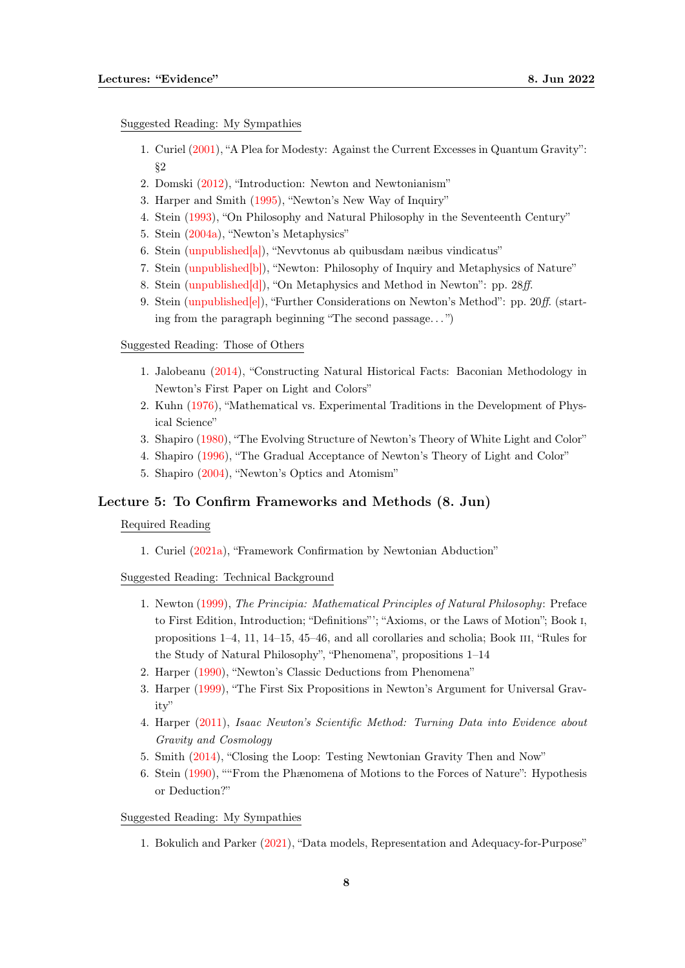#### Suggested Reading: My Sympathies

- 1. Curiel [\(2001\)](#page-15-11), "A Plea for Modesty: Against the Current Excesses in Quantum Gravity": §2
- 2. Domski [\(2012\)](#page-16-10), "Introduction: Newton and Newtonianism"
- 3. Harper and Smith [\(1995\)](#page-17-6), "Newton's New Way of Inquiry"
- 4. Stein [\(1993\)](#page-23-2), "On Philosophy and Natural Philosophy in the Seventeenth Century"
- 5. Stein [\(2004a\)](#page-23-3), "Newton's Metaphysics"
- 6. Stein [\(unpublished\[a\]\)](#page-23-4), "Nevvtonus ab quibusdam næibus vindicatus"
- 7. Stein [\(unpublished\[b\]\)](#page-23-5), "Newton: Philosophy of Inquiry and Metaphysics of Nature"
- 8. Stein [\(unpublished\[d\]\)](#page-24-4), "On Metaphysics and Method in Newton": pp. 28ff.
- 9. Stein [\(unpublished\[e\]\)](#page-24-5), "Further Considerations on Newton's Method": pp. 20ff. (starting from the paragraph beginning "The second passage. . . ")

#### Suggested Reading: Those of Others

- 1. Jalobeanu [\(2014\)](#page-18-8), "Constructing Natural Historical Facts: Baconian Methodology in Newton's First Paper on Light and Colors"
- 2. Kuhn [\(1976\)](#page-18-9), "Mathematical vs. Experimental Traditions in the Development of Physical Science"
- 3. Shapiro [\(1980\)](#page-22-9), "The Evolving Structure of Newton's Theory of White Light and Color"
- 4. Shapiro [\(1996\)](#page-23-6), "The Gradual Acceptance of Newton's Theory of Light and Color"
- 5. Shapiro [\(2004\)](#page-23-7), "Newton's Optics and Atomism"

#### <span id="page-7-0"></span>Lecture 5: To Confirm Frameworks and Methods (8. Jun)

#### Required Reading

1. Curiel [\(2021a\)](#page-15-12), "Framework Confirmation by Newtonian Abduction"

#### Suggested Reading: Technical Background

- 1. Newton [\(1999\)](#page-21-12), The Principia: Mathematical Principles of Natural Philosophy: Preface to First Edition, Introduction; "Definitions"'; "Axioms, or the Laws of Motion"; Book i, propositions  $1-4$ , 11,  $14-15$ ,  $45-46$ , and all corollaries and scholia; Book III, "Rules for the Study of Natural Philosophy", "Phenomena", propositions 1–14
- 2. Harper [\(1990\)](#page-17-7), "Newton's Classic Deductions from Phenomena"
- 3. Harper [\(1999\)](#page-17-8), "The First Six Propositions in Newton's Argument for Universal Gravity"
- 4. Harper [\(2011\)](#page-17-9), Isaac Newton's Scientific Method: Turning Data into Evidence about Gravity and Cosmology
- 5. Smith [\(2014\)](#page-23-8), "Closing the Loop: Testing Newtonian Gravity Then and Now"
- 6. Stein [\(1990\)](#page-23-9), " "From the Phænomena of Motions to the Forces of Nature": Hypothesis or Deduction?"

#### Suggested Reading: My Sympathies

1. Bokulich and Parker [\(2021\)](#page-14-6), "Data models, Representation and Adequacy-for-Purpose"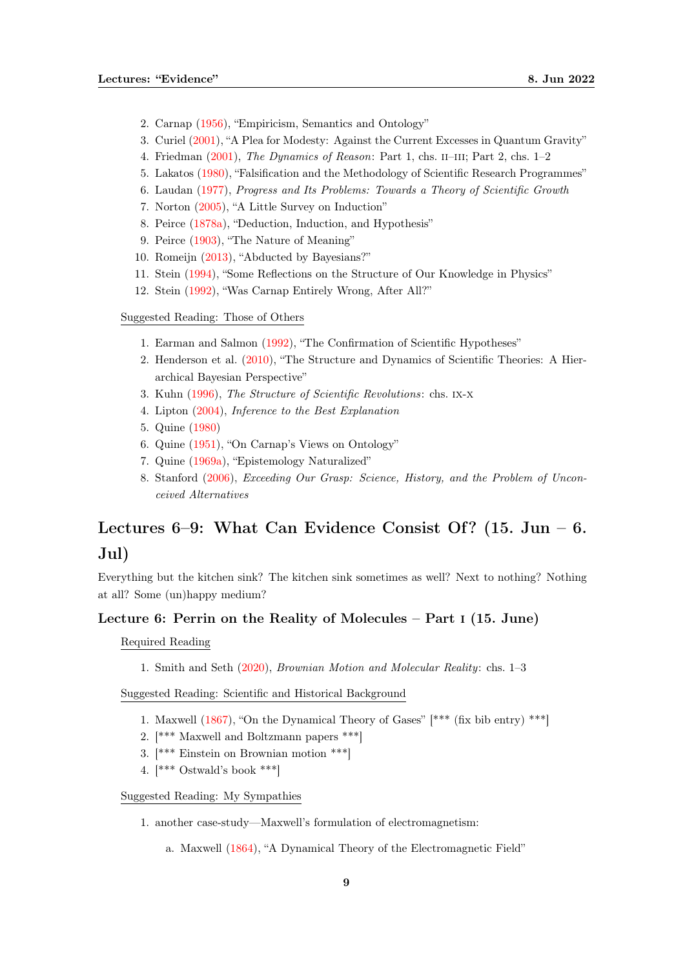- 2. Carnap [\(1956\)](#page-14-4), "Empiricism, Semantics and Ontology"
- 3. Curiel [\(2001\)](#page-15-11), "A Plea for Modesty: Against the Current Excesses in Quantum Gravity"
- 4. Friedman  $(2001)$ , The Dynamics of Reason: Part 1, chs. II–III; Part 2, chs. 1–2
- 5. Lakatos [\(1980\)](#page-19-10), "Falsification and the Methodology of Scientific Research Programmes"
- 6. Laudan [\(1977\)](#page-19-11), Progress and Its Problems: Towards a Theory of Scientific Growth
- 7. Norton [\(2005\)](#page-21-13), "A Little Survey on Induction"
- 8. Peirce [\(1878a\)](#page-21-5), "Deduction, Induction, and Hypothesis"
- 9. Peirce [\(1903\)](#page-22-1), "The Nature of Meaning"
- 10. Romeijn [\(2013\)](#page-22-10), "Abducted by Bayesians?"
- 11. Stein [\(1994\)](#page-23-10), "Some Reflections on the Structure of Our Knowledge in Physics"
- 12. Stein [\(1992\)](#page-23-11), "Was Carnap Entirely Wrong, After All?"

- 1. Earman and Salmon [\(1992\)](#page-16-11), "The Confirmation of Scientific Hypotheses"
- 2. Henderson et al. [\(2010\)](#page-18-10), "The Structure and Dynamics of Scientific Theories: A Hierarchical Bayesian Perspective"
- 3. Kuhn [\(1996\)](#page-19-3), The Structure of Scientific Revolutions: chs. ix-x
- 4. Lipton [\(2004\)](#page-19-12), Inference to the Best Explanation
- 5. Quine [\(1980\)](#page-22-11)
- 6. Quine [\(1951\)](#page-22-12), "On Carnap's Views on Ontology"
- <span id="page-8-0"></span>7. Quine [\(1969a\)](#page-22-4), "Epistemology Naturalized"
- 8. Stanford [\(2006\)](#page-23-12), Exceeding Our Grasp: Science, History, and the Problem of Unconceived Alternatives

## Lectures 6–9: What Can Evidence Consist Of? (15. Jun – 6. Jul)

Everything but the kitchen sink? The kitchen sink sometimes as well? Next to nothing? Nothing at all? Some (un)happy medium?

#### <span id="page-8-1"></span>Lecture 6: Perrin on the Reality of Molecules – Part i (15. June)

#### Required Reading

1. Smith and Seth [\(2020\)](#page-23-0), Brownian Motion and Molecular Reality: chs. 1–3

Suggested Reading: Scientific and Historical Background

- 1. Maxwell [\(1867\)](#page-20-8), "On the Dynamical Theory of Gases" [\*\*\* (fix bib entry) \*\*\*]
- 2. [\*\*\* Maxwell and Boltzmann papers \*\*\*]
- 3. [\*\*\* Einstein on Brownian motion \*\*\*]
- 4. [\*\*\* Ostwald's book \*\*\*]

- 1. another case-study—Maxwell's formulation of electromagnetism:
	- a. Maxwell [\(1864\)](#page-19-13), "A Dynamical Theory of the Electromagnetic Field"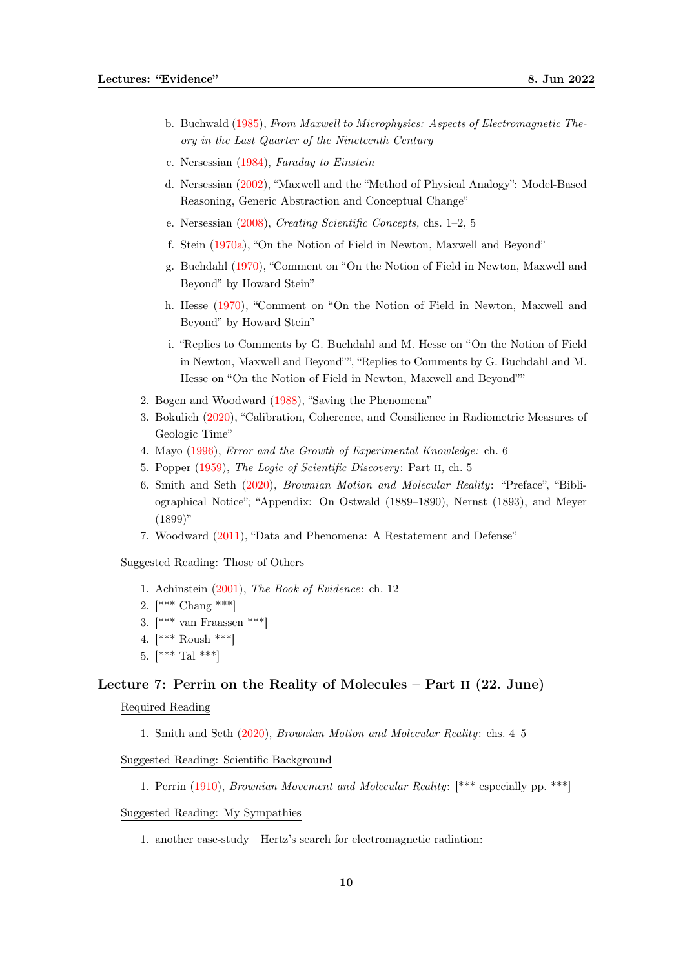- b. Buchwald [\(1985\)](#page-14-7), From Maxwell to Microphysics: Aspects of Electromagnetic Theory in the Last Quarter of the Nineteenth Century
- c. Nersessian [\(1984\)](#page-20-9), Faraday to Einstein
- d. Nersessian [\(2002\)](#page-20-10), "Maxwell and the "Method of Physical Analogy": Model-Based Reasoning, Generic Abstraction and Conceptual Change"
- e. Nersessian [\(2008\)](#page-20-11), Creating Scientific Concepts, chs. 1–2, 5
- f. Stein [\(1970a\)](#page-23-13), "On the Notion of Field in Newton, Maxwell and Beyond"
- g. Buchdahl [\(1970\)](#page-14-8), "Comment on "On the Notion of Field in Newton, Maxwell and Beyond" by Howard Stein"
- h. Hesse [\(1970\)](#page-18-11), "Comment on "On the Notion of Field in Newton, Maxwell and Beyond" by Howard Stein"
- i. "Replies to Comments by G. Buchdahl and M. Hesse on "On the Notion of Field in Newton, Maxwell and Beyond"", "Replies to Comments by G. Buchdahl and M. Hesse on "On the Notion of Field in Newton, Maxwell and Beyond""
- 2. Bogen and Woodward [\(1988\)](#page-14-3), "Saving the Phenomena"
- 3. Bokulich [\(2020\)](#page-14-9), "Calibration, Coherence, and Consilience in Radiometric Measures of Geologic Time"
- 4. Mayo [\(1996\)](#page-20-0), Error and the Growth of Experimental Knowledge: ch. 6
- 5. Popper [\(1959\)](#page-22-3), The Logic of Scientific Discovery: Part ii, ch. 5
- 6. Smith and Seth [\(2020\)](#page-23-0), Brownian Motion and Molecular Reality: "Preface", "Bibliographical Notice"; "Appendix: On Ostwald (1889–1890), Nernst (1893), and Meyer  $(1899)$ "
- 7. Woodward [\(2011\)](#page-25-1), "Data and Phenomena: A Restatement and Defense"

- 1. Achinstein [\(2001\)](#page-14-0), The Book of Evidence: ch. 12
- 2. [\*\*\* Chang \*\*\*]
- 3.  $[***\$  van Fraassen \*\*\*]
- 4. [\*\*\* Roush \*\*\*]
- 5. [\*\*\* Tal \*\*\*]

#### <span id="page-9-0"></span>Lecture 7: Perrin on the Reality of Molecules – Part ii (22. June)

#### Required Reading

1. Smith and Seth [\(2020\)](#page-23-0), Brownian Motion and Molecular Reality: chs. 4–5

Suggested Reading: Scientific Background

1. Perrin [\(1910\)](#page-22-13), Brownian Movement and Molecular Reality: [\*\*\* especially pp. \*\*\*]

#### Suggested Reading: My Sympathies

1. another case-study—Hertz's search for electromagnetic radiation: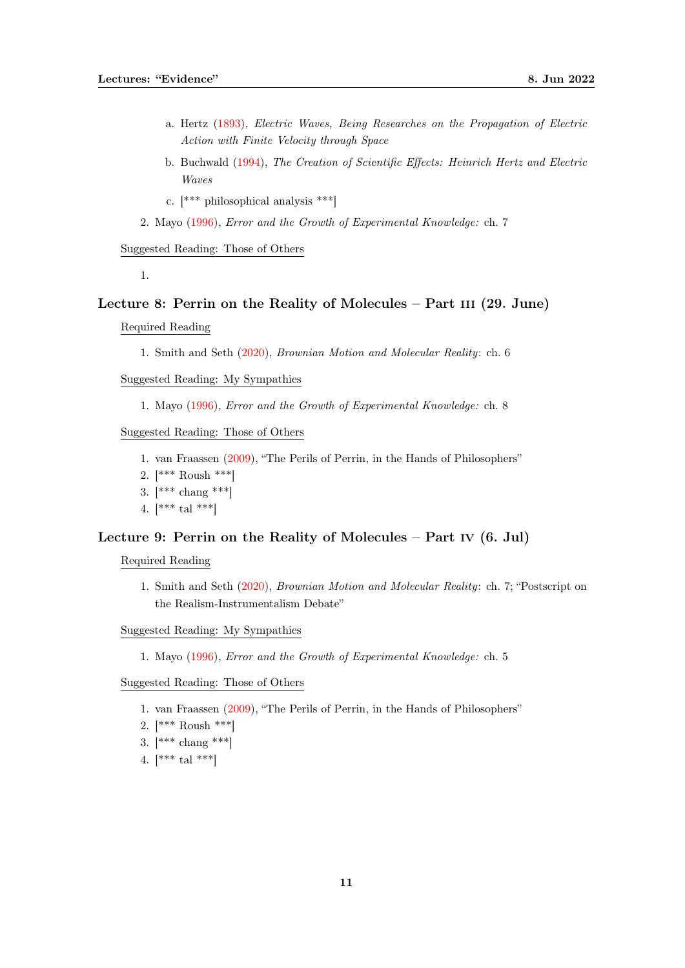- a. Hertz [\(1893\)](#page-18-12), Electric Waves, Being Researches on the Propagation of Electric Action with Finite Velocity through Space
- b. Buchwald [\(1994\)](#page-14-10), The Creation of Scientific Effects: Heinrich Hertz and Electric Waves
- c. [\*\*\* philosophical analysis \*\*\*]
- 2. Mayo [\(1996\)](#page-20-0), Error and the Growth of Experimental Knowledge: ch. 7

1.

## <span id="page-10-0"></span>Lecture 8: Perrin on the Reality of Molecules – Part III (29. June)

#### Required Reading

1. Smith and Seth [\(2020\)](#page-23-0), Brownian Motion and Molecular Reality: ch. 6

Suggested Reading: My Sympathies

1. Mayo [\(1996\)](#page-20-0), Error and the Growth of Experimental Knowledge: ch. 8

#### Suggested Reading: Those of Others

- 1. van Fraassen [\(2009\)](#page-16-12), "The Perils of Perrin, in the Hands of Philosophers"
- 2. [\*\*\* Roush \*\*\*]
- 3. [\*\*\* chang \*\*\*]
- 4.  $*^{**}$  tal \*\*\*

#### <span id="page-10-1"></span>Lecture 9: Perrin on the Reality of Molecules – Part iv (6. Jul)

#### Required Reading

1. Smith and Seth [\(2020\)](#page-23-0), Brownian Motion and Molecular Reality: ch. 7; "Postscript on the Realism-Instrumentalism Debate"

Suggested Reading: My Sympathies

1. Mayo [\(1996\)](#page-20-0), Error and the Growth of Experimental Knowledge: ch. 5

Suggested Reading: Those of Others

- 1. van Fraassen [\(2009\)](#page-16-12), "The Perils of Perrin, in the Hands of Philosophers"
- 2. [\*\*\* Roush \*\*\*]
- <span id="page-10-2"></span>3. [\*\*\* chang \*\*\*]
- 4. [\*\*\* tal \*\*\*]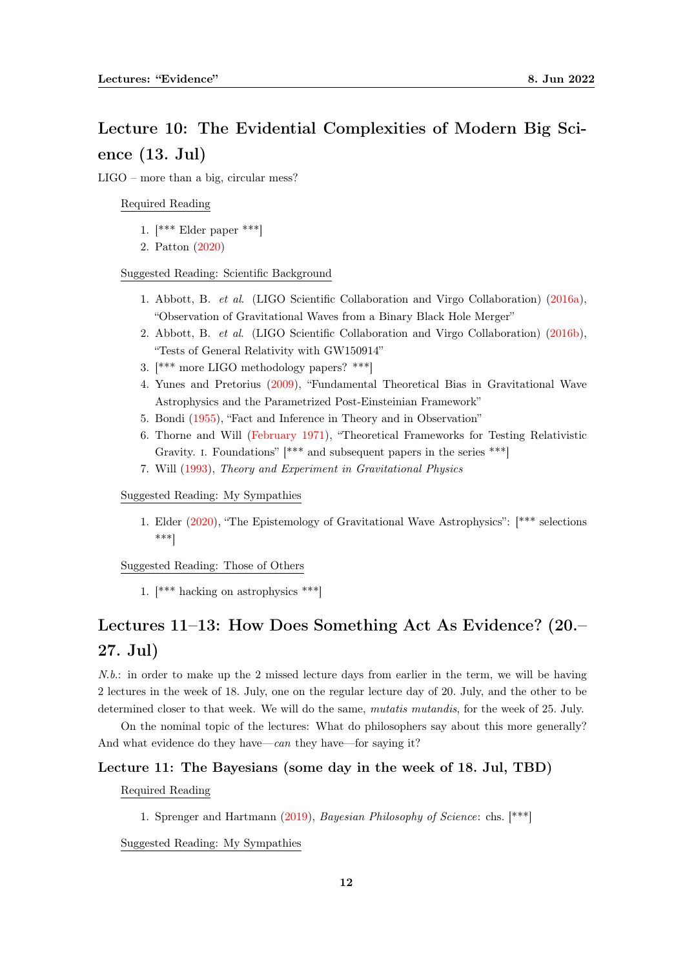LIGO – more than a big, circular mess?

Required Reading

- 1. [\*\*\* Elder paper \*\*\*]
- 2. Patton [\(2020\)](#page-21-14)

Suggested Reading: Scientific Background

- 1. Abbott, B. et al. (LIGO Scientific Collaboration and Virgo Collaboration) [\(2016a\)](#page-13-2), "Observation of Gravitational Waves from a Binary Black Hole Merger"
- 2. Abbott, B. et al. (LIGO Scientific Collaboration and Virgo Collaboration) [\(2016b\)](#page-14-11), "Tests of General Relativity with GW150914"
- 3. [\*\*\* more LIGO methodology papers? \*\*\*]
- 4. Yunes and Pretorius [\(2009\)](#page-25-3), "Fundamental Theoretical Bias in Gravitational Wave Astrophysics and the Parametrized Post-Einsteinian Framework"
- 5. Bondi [\(1955\)](#page-14-12), "Fact and Inference in Theory and in Observation"
- 6. Thorne and Will [\(February 1971\)](#page-24-10), "Theoretical Frameworks for Testing Relativistic Gravity. I. Foundations"  $[***]$  and subsequent papers in the series \*\*\*
- 7. Will [\(1993\)](#page-24-11), Theory and Experiment in Gravitational Physics

#### Suggested Reading: My Sympathies

1. Elder [\(2020\)](#page-16-13), "The Epistemology of Gravitational Wave Astrophysics": [\*\*\* selections \*\*\*]

<span id="page-11-0"></span>Suggested Reading: Those of Others

1. [\*\*\* hacking on astrophysics \*\*\*]

## Lectures 11–13: How Does Something Act As Evidence? (20.– 27. Jul)

N.b.: in order to make up the 2 missed lecture days from earlier in the term, we will be having 2 lectures in the week of 18. July, one on the regular lecture day of 20. July, and the other to be determined closer to that week. We will do the same, mutatis mutandis, for the week of 25. July.

On the nominal topic of the lectures: What do philosophers say about this more generally? And what evidence do they have—can they have—for saying it?

#### <span id="page-11-1"></span>Lecture 11: The Bayesians (some day in the week of 18. Jul, TBD)

#### Required Reading

1. Sprenger and Hartmann [\(2019\)](#page-23-14), Bayesian Philosophy of Science: chs. [\*\*\*]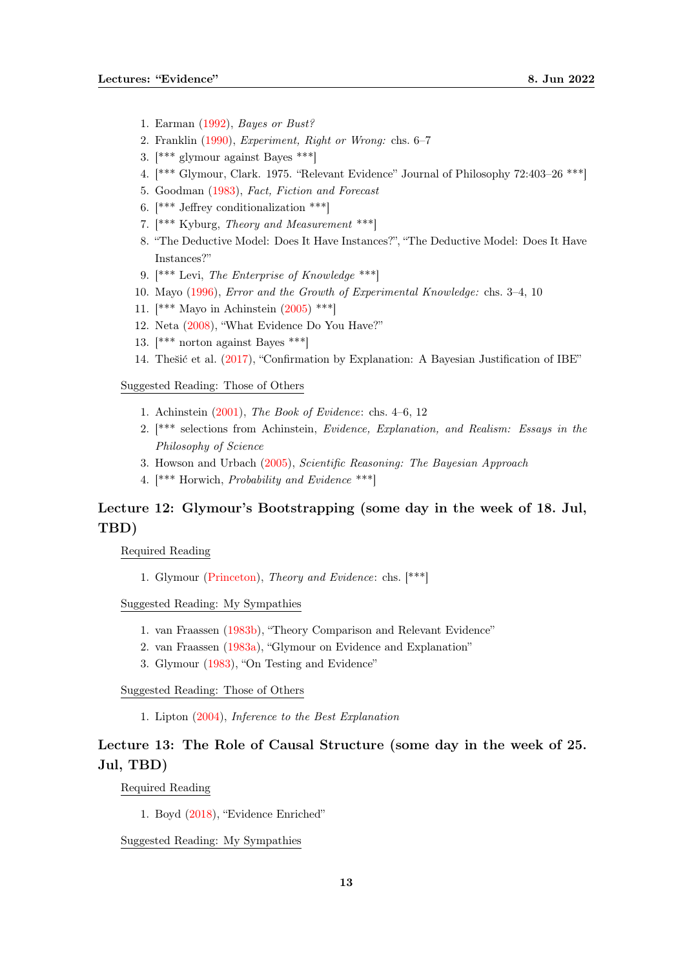- 1. Earman [\(1992\)](#page-16-1), Bayes or Bust?
- 2. Franklin [\(1990\)](#page-17-11), Experiment, Right or Wrong: chs. 6–7
- 3. [\*\*\* glymour against Bayes \*\*\*]
- 4. [\*\*\* Glymour, Clark. 1975. "Relevant Evidence" Journal of Philosophy 72:403–26 \*\*\*]
- 5. Goodman [\(1983\)](#page-17-0), Fact, Fiction and Forecast
- 6. [\*\*\* Jeffrey conditionalization \*\*\*]
- 7. [\*\*\* Kyburg, Theory and Measurement \*\*\*]
- 8. "The Deductive Model: Does It Have Instances?", "The Deductive Model: Does It Have Instances?"
- 9. [\*\*\* Levi, The Enterprise of Knowledge \*\*\*]
- 10. Mayo [\(1996\)](#page-20-0), Error and the Growth of Experimental Knowledge: chs. 3–4, 10
- 11. [\*\*\* Mayo in Achinstein [\(2005\)](#page-14-13) \*\*\*]
- 12. Neta [\(2008\)](#page-20-12), "What Evidence Do You Have?"
- 13. [\*\*\* norton against Bayes \*\*\*]
- 14. The sić et al. [\(2017\)](#page-24-12), "Confirmation by Explanation: A Bayesian Justification of IBE"

- 1. Achinstein [\(2001\)](#page-14-0), The Book of Evidence: chs. 4–6, 12
- 2. [\*\*\* selections from Achinstein, Evidence, Explanation, and Realism: Essays in the Philosophy of Science
- 3. Howson and Urbach [\(2005\)](#page-18-13), Scientific Reasoning: The Bayesian Approach
- 4. [\*\*\* Horwich, Probability and Evidence \*\*\*]

## <span id="page-12-0"></span>Lecture 12: Glymour's Bootstrapping (some day in the week of 18. Jul, TBD)

Required Reading

1. Glymour [\(Princeton\)](#page-17-12), Theory and Evidence: chs. [\*\*\*]

Suggested Reading: My Sympathies

- 1. van Fraassen [\(1983b\)](#page-16-14), "Theory Comparison and Relevant Evidence"
- 2. van Fraassen [\(1983a\)](#page-16-15), "Glymour on Evidence and Explanation"
- 3. Glymour [\(1983\)](#page-17-13), "On Testing and Evidence"

<span id="page-12-1"></span>Suggested Reading: Those of Others

1. Lipton [\(2004\)](#page-19-12), Inference to the Best Explanation

### Lecture 13: The Role of Causal Structure (some day in the week of 25. Jul, TBD)

Required Reading

1. Boyd [\(2018\)](#page-14-14), "Evidence Enriched"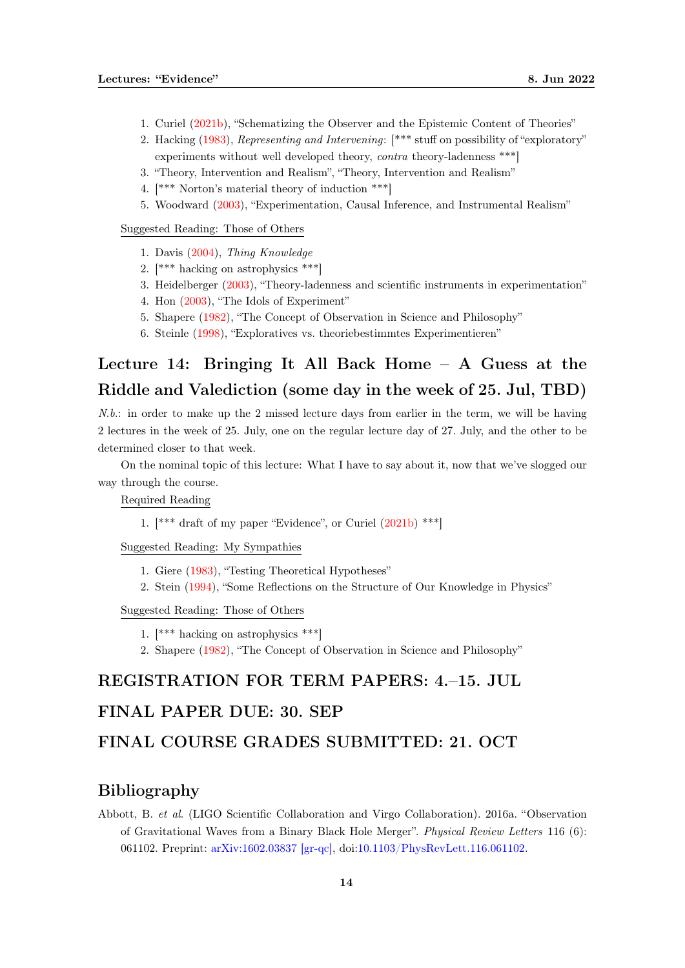- 1. Curiel [\(2021b\)](#page-15-13), "Schematizing the Observer and the Epistemic Content of Theories"
- 2. Hacking [\(1983\)](#page-17-5), Representing and Intervening: [\*\*\* stuff on possibility of "exploratory" experiments without well developed theory, contra theory-ladenness \*\*\*]
- 3. "Theory, Intervention and Realism", "Theory, Intervention and Realism"
- 4. [\*\*\* Norton's material theory of induction \*\*\*]
- 5. Woodward [\(2003\)](#page-25-4), "Experimentation, Causal Inference, and Instrumental Realism"

- 1. Davis [\(2004\)](#page-16-16), Thing Knowledge
- 2. [\*\*\* hacking on astrophysics \*\*\*]
- 3. Heidelberger [\(2003\)](#page-17-14), "Theory-ladenness and scientific instruments in experimentation"
- 4. Hon [\(2003\)](#page-18-14), "The Idols of Experiment"
- 5. Shapere [\(1982\)](#page-22-14), "The Concept of Observation in Science and Philosophy"
- 6. Steinle [\(1998\)](#page-24-13), "Exploratives vs. theoriebestimmtes Experimentieren"

## <span id="page-13-0"></span>Lecture 14: Bringing It All Back Home – A Guess at the Riddle and Valediction (some day in the week of 25. Jul, TBD)

 $N.b.:$  in order to make up the 2 missed lecture days from earlier in the term, we will be having 2 lectures in the week of 25. July, one on the regular lecture day of 27. July, and the other to be determined closer to that week.

On the nominal topic of this lecture: What I have to say about it, now that we've slogged our way through the course.

Required Reading

1.  $[***$  draft of my paper "Evidence", or Curiel  $(2021b)$  \*\*\*]

Suggested Reading: My Sympathies

1. Giere [\(1983\)](#page-17-15), "Testing Theoretical Hypotheses"

2. Stein [\(1994\)](#page-23-10), "Some Reflections on the Structure of Our Knowledge in Physics"

<span id="page-13-1"></span>Suggested Reading: Those of Others

- 1. [\*\*\* hacking on astrophysics \*\*\*]
- 2. Shapere [\(1982\)](#page-22-14), "The Concept of Observation in Science and Philosophy"

## REGISTRATION FOR TERM PAPERS: 4.–15. JUL

### FINAL PAPER DUE: 30. SEP

### FINAL COURSE GRADES SUBMITTED: 21. OCT

### Bibliography

<span id="page-13-2"></span>Abbott, B. et al. (LIGO Scientific Collaboration and Virgo Collaboration). 2016a. "Observation of Gravitational Waves from a Binary Black Hole Merger". Physical Review Letters 116 (6): 061102. Preprint: [arXiv:1602.03837 \[gr-qc\],](https://arxiv.org/abs/1602.03837) doi[:10.1103/PhysRevLett.116.061102.](https://doi.org/10.1103/PhysRevLett.116.061102)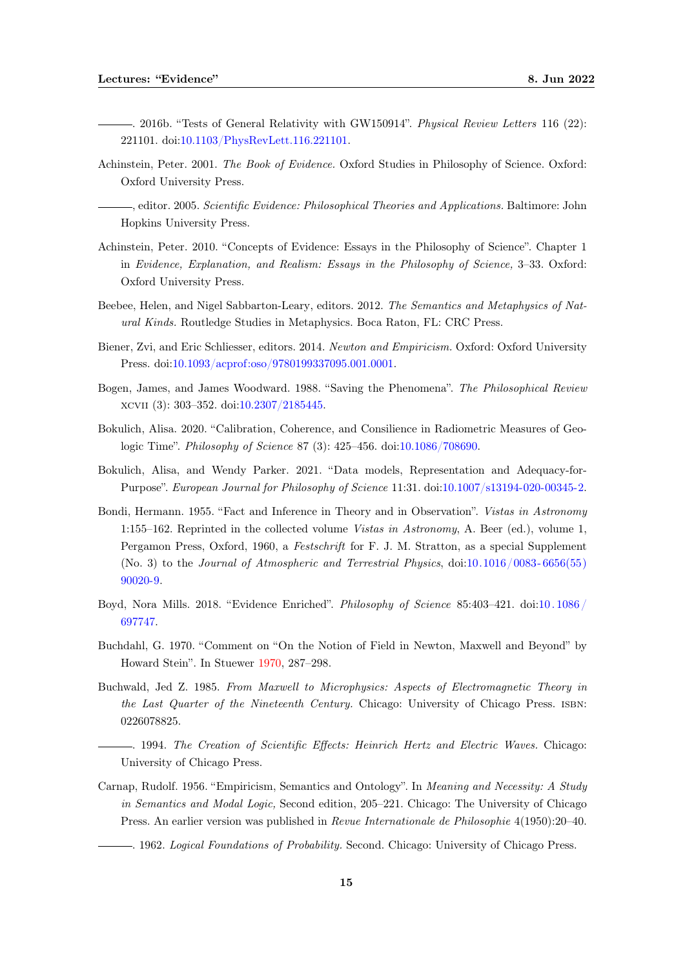- <span id="page-14-11"></span>. 2016b. "Tests of General Relativity with GW150914". Physical Review Letters 116 (22): 221101. doi[:10.1103/PhysRevLett.116.221101.](https://doi.org/10.1103/PhysRevLett.116.221101)
- <span id="page-14-13"></span><span id="page-14-0"></span>Achinstein, Peter. 2001. The Book of Evidence. Oxford Studies in Philosophy of Science. Oxford: Oxford University Press.
	- $-$ , editor. 2005. Scientific Evidence: Philosophical Theories and Applications. Baltimore: John Hopkins University Press.
- <span id="page-14-1"></span>Achinstein, Peter. 2010. "Concepts of Evidence: Essays in the Philosophy of Science". Chapter 1 in Evidence, Explanation, and Realism: Essays in the Philosophy of Science, 3–33. Oxford: Oxford University Press.
- <span id="page-14-5"></span>Beebee, Helen, and Nigel Sabbarton-Leary, editors. 2012. The Semantics and Metaphysics of Natural Kinds. Routledge Studies in Metaphysics. Boca Raton, FL: CRC Press.
- <span id="page-14-15"></span>Biener, Zvi, and Eric Schliesser, editors. 2014. Newton and Empiricism. Oxford: Oxford University Press. doi[:10.1093/acprof:oso/9780199337095.001.0001.](https://doi.org/10.1093/acprof:oso/9780199337095.001.0001)
- <span id="page-14-3"></span>Bogen, James, and James Woodward. 1988. "Saving the Phenomena". The Philosophical Review xcvii (3): 303–352. doi[:10.2307/2185445.](https://doi.org/10.2307/2185445)
- <span id="page-14-9"></span>Bokulich, Alisa. 2020. "Calibration, Coherence, and Consilience in Radiometric Measures of Geologic Time". Philosophy of Science 87 (3): 425–456. doi[:10.1086/708690.](https://doi.org/10.1086/708690)
- <span id="page-14-6"></span>Bokulich, Alisa, and Wendy Parker. 2021. "Data models, Representation and Adequacy-for-Purpose". European Journal for Philosophy of Science 11:31. doi[:10.1007/s13194-020-00345-2.](https://doi.org/10.1007/s13194-020-00345-2)
- <span id="page-14-12"></span>Bondi, Hermann. 1955. "Fact and Inference in Theory and in Observation". Vistas in Astronomy 1:155–162. Reprinted in the collected volume Vistas in Astronomy, A. Beer (ed.), volume 1, Pergamon Press, Oxford, 1960, a Festschrift for F. J. M. Stratton, as a special Supplement (No. 3) to the Journal of Atmospheric and Terrestrial Physics, doi:10.1016/0083-6656(55) [90020-9.](https://doi.org/10.1016/0083-6656(55)90020-9)
- <span id="page-14-14"></span>Boyd, Nora Mills. 2018. "Evidence Enriched". Philosophy of Science 85:403–421. doi[:10 . 1086 /](https://doi.org/10.1086/697747) [697747.](https://doi.org/10.1086/697747)
- <span id="page-14-8"></span>Buchdahl, G. 1970. "Comment on "On the Notion of Field in Newton, Maxwell and Beyond" by Howard Stein". In Stuewer [1970,](#page-24-14) 287–298.
- <span id="page-14-7"></span>Buchwald, Jed Z. 1985. From Maxwell to Microphysics: Aspects of Electromagnetic Theory in the Last Quarter of the Nineteenth Century. Chicago: University of Chicago Press. isbn: 0226078825.
	- . 1994. The Creation of Scientific Effects: Heinrich Hertz and Electric Waves. Chicago: University of Chicago Press.
- <span id="page-14-10"></span><span id="page-14-4"></span><span id="page-14-2"></span>Carnap, Rudolf. 1956. "Empiricism, Semantics and Ontology". In Meaning and Necessity: A Study in Semantics and Modal Logic, Second edition, 205–221. Chicago: The University of Chicago Press. An earlier version was published in Revue Internationale de Philosophie 4(1950):20–40.
	- . 1962. Logical Foundations of Probability. Second. Chicago: University of Chicago Press.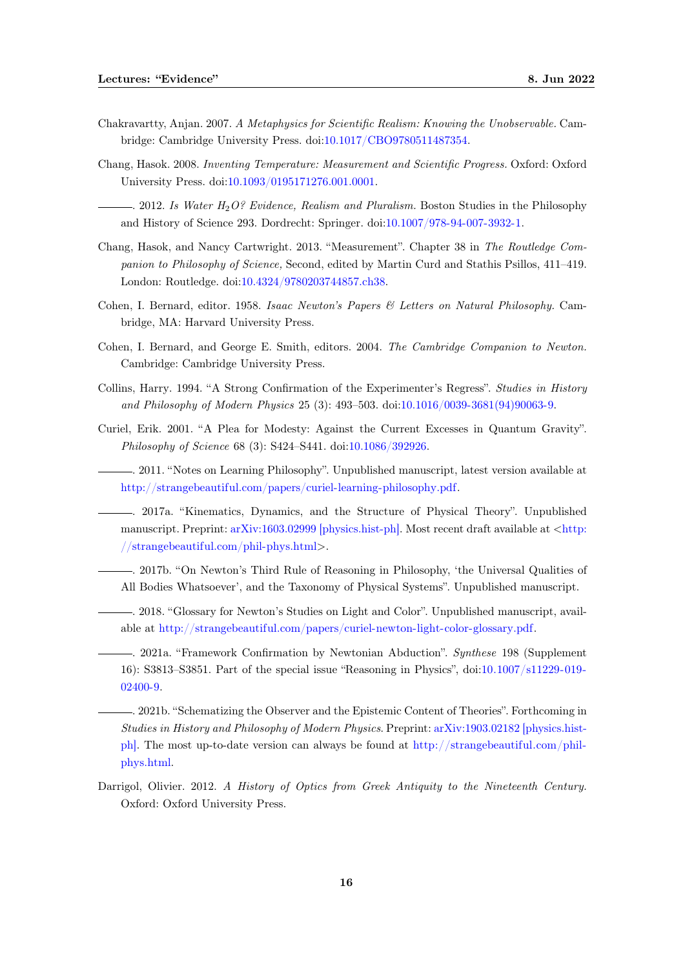- <span id="page-15-9"></span>Chakravartty, Anjan. 2007. A Metaphysics for Scientific Realism: Knowing the Unobservable. Cambridge: Cambridge University Press. doi[:10.1017/CBO9780511487354.](https://doi.org/10.1017/CBO9780511487354)
- <span id="page-15-4"></span><span id="page-15-3"></span>Chang, Hasok. 2008. Inventing Temperature: Measurement and Scientific Progress. Oxford: Oxford University Press. doi[:10.1093/0195171276.001.0001.](https://doi.org/10.1093/0195171276.001.0001)
	- $-$ . 2012. Is Water  $H_2O$ ? Evidence, Realism and Pluralism. Boston Studies in the Philosophy and History of Science 293. Dordrecht: Springer. doi[:10.1007/978-94-007-3932-1.](https://doi.org/10.1007/978-94-007-3932-1)
- <span id="page-15-5"></span>Chang, Hasok, and Nancy Cartwright. 2013. "Measurement". Chapter 38 in The Routledge Companion to Philosophy of Science, Second, edited by Martin Curd and Stathis Psillos, 411–419. London: Routledge. doi[:10.4324/9780203744857.ch38.](https://doi.org/10.4324/9780203744857.ch38)
- <span id="page-15-10"></span>Cohen, I. Bernard, editor. 1958. Isaac Newton's Papers & Letters on Natural Philosophy. Cambridge, MA: Harvard University Press.
- <span id="page-15-14"></span>Cohen, I. Bernard, and George E. Smith, editors. 2004. The Cambridge Companion to Newton. Cambridge: Cambridge University Press.
- <span id="page-15-6"></span>Collins, Harry. 1994. "A Strong Confirmation of the Experimenter's Regress". Studies in History and Philosophy of Modern Physics 25 (3): 493–503. doi[:10.1016/0039-3681\(94\)90063-9.](https://doi.org/10.1016/0039-3681(94)90063-9)
- <span id="page-15-11"></span>Curiel, Erik. 2001. "A Plea for Modesty: Against the Current Excesses in Quantum Gravity". Philosophy of Science 68 (3): S424–S441. doi[:10.1086/392926.](https://doi.org/10.1086/392926)

<span id="page-15-0"></span>. 2011. "Notes on Learning Philosophy". Unpublished manuscript, latest version available at [http://strangebeautiful.com/papers/curiel-learning-philosophy.pdf.](http://strangebeautiful.com/papers/curiel-learning-philosophy.pdf)

<span id="page-15-7"></span>. 2017a. "Kinematics, Dynamics, and the Structure of Physical Theory". Unpublished manuscript. Preprint: [arXiv:1603.02999 \[physics.hist-ph\].](https://arxiv.org/abs/1603.02999) Most recent draft available at <[http:](http://strangebeautiful.com/phil-phys.html) [//strangebeautiful.com/phil-phys.html](http://strangebeautiful.com/phil-phys.html)>.

- <span id="page-15-8"></span>. 2017b. "On Newton's Third Rule of Reasoning in Philosophy, 'the Universal Qualities of All Bodies Whatsoever', and the Taxonomy of Physical Systems". Unpublished manuscript.
- <span id="page-15-1"></span>. 2018. "Glossary for Newton's Studies on Light and Color". Unpublished manuscript, available at [http://strangebeautiful.com/papers/curiel-newton-light-color-glossary.pdf.](http://strangebeautiful.com/papers/curiel-newton-light-color-glossary.pdf)
- <span id="page-15-12"></span>. 2021a. "Framework Confirmation by Newtonian Abduction". Synthese 198 (Supplement 16): S3813–S3851. Part of the special issue "Reasoning in Physics", doi[:10.1007/s11229-019-](https://doi.org/10.1007/s11229-019-02400-9) [02400-9.](https://doi.org/10.1007/s11229-019-02400-9)
- <span id="page-15-13"></span>. 2021b. "Schematizing the Observer and the Epistemic Content of Theories". Forthcoming in Studies in History and Philosophy of Modern Physics. Preprint: [arXiv:1903.02182 \[physics.hist](https://arxiv.org/abs/1903.02182)[ph\].](https://arxiv.org/abs/1903.02182) The most up-to-date version can always be found at [http://strangebeautiful.com/phil](http://strangebeautiful.com/phil-phys.html)[phys.html.](http://strangebeautiful.com/phil-phys.html)
- <span id="page-15-2"></span>Darrigol, Olivier. 2012. A History of Optics from Greek Antiquity to the Nineteenth Century. Oxford: Oxford University Press.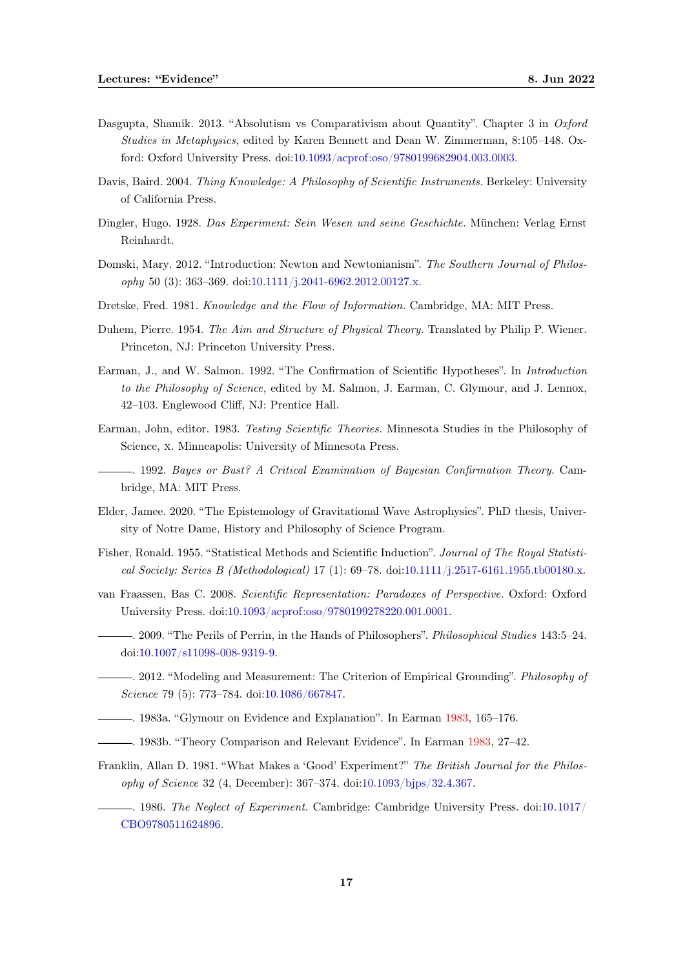- <span id="page-16-7"></span>Dasgupta, Shamik. 2013. "Absolutism vs Comparativism about Quantity". Chapter 3 in Oxford Studies in Metaphysics, edited by Karen Bennett and Dean W. Zimmerman, 8:105–148. Oxford: Oxford University Press. doi[:10.1093/acprof:oso/9780199682904.003.0003.](https://doi.org/10.1093/acprof:oso/9780199682904.003.0003)
- <span id="page-16-16"></span>Davis, Baird. 2004. Thing Knowledge: A Philosophy of Scientific Instruments. Berkeley: University of California Press.
- <span id="page-16-6"></span>Dingler, Hugo. 1928. Das Experiment: Sein Wesen und seine Geschichte. München: Verlag Ernst Reinhardt.
- <span id="page-16-10"></span>Domski, Mary. 2012. "Introduction: Newton and Newtonianism". The Southern Journal of Philosophy 50 (3): 363–369. doi[:10.1111/j.2041-6962.2012.00127.x.](https://doi.org/10.1111/j.2041-6962.2012.00127.x)
- <span id="page-16-0"></span>Dretske, Fred. 1981. Knowledge and the Flow of Information. Cambridge, MA: MIT Press.
- <span id="page-16-3"></span>Duhem, Pierre. 1954. The Aim and Structure of Physical Theory. Translated by Philip P. Wiener. Princeton, NJ: Princeton University Press.
- <span id="page-16-11"></span>Earman, J., and W. Salmon. 1992. "The Confirmation of Scientific Hypotheses". In Introduction to the Philosophy of Science, edited by M. Salmon, J. Earman, C. Glymour, and J. Lennox, 42–103. Englewood Cliff, NJ: Prentice Hall.
- <span id="page-16-17"></span>Earman, John, editor. 1983. Testing Scientific Theories. Minnesota Studies in the Philosophy of Science, x. Minneapolis: University of Minnesota Press.
- <span id="page-16-1"></span>. 1992. Bayes or Bust? A Critical Examination of Bayesian Confirmation Theory. Cambridge, MA: MIT Press.
- <span id="page-16-13"></span>Elder, Jamee. 2020. "The Epistemology of Gravitational Wave Astrophysics". PhD thesis, University of Notre Dame, History and Philosophy of Science Program.
- <span id="page-16-2"></span>Fisher, Ronald. 1955. "Statistical Methods and Scientific Induction". Journal of The Royal Statistical Society: Series B (Methodological) 17 (1): 69–78. doi[:10.1111/j.2517-6161.1955.tb00180.x.](https://doi.org/10.1111/j.2517-6161.1955.tb00180.x)
- <span id="page-16-8"></span>van Fraassen, Bas C. 2008. Scientific Representation: Paradoxes of Perspective. Oxford: Oxford University Press. doi[:10.1093/acprof:oso/9780199278220.001.0001.](https://doi.org/10.1093/acprof:oso/9780199278220.001.0001)
- <span id="page-16-12"></span>... 2009. "The Perils of Perrin, in the Hands of Philosophers". *Philosophical Studies* 143:5–24. doi[:10.1007/s11098-008-9319-9.](https://doi.org/10.1007/s11098-008-9319-9)
- <span id="page-16-9"></span>-. 2012. "Modeling and Measurement: The Criterion of Empirical Grounding". Philosophy of Science 79 (5): 773-784. doi[:10.1086/667847.](https://doi.org/10.1086/667847)
- <span id="page-16-15"></span>. 1983a. "Glymour on Evidence and Explanation". In Earman [1983,](#page-16-17) 165–176.
- <span id="page-16-14"></span>. 1983b. "Theory Comparison and Relevant Evidence". In Earman [1983,](#page-16-17) 27–42.
- <span id="page-16-4"></span>Franklin, Allan D. 1981. "What Makes a 'Good' Experiment?" The British Journal for the Philosophy of Science 32 (4, December): 367–374. doi[:10.1093/bjps/32.4.367.](https://doi.org/10.1093/bjps/32.4.367)
- <span id="page-16-5"></span>. 1986. The Neglect of Experiment. Cambridge: Cambridge University Press. doi[:10.1017/](https://doi.org/10.1017/CBO9780511624896) [CBO9780511624896.](https://doi.org/10.1017/CBO9780511624896)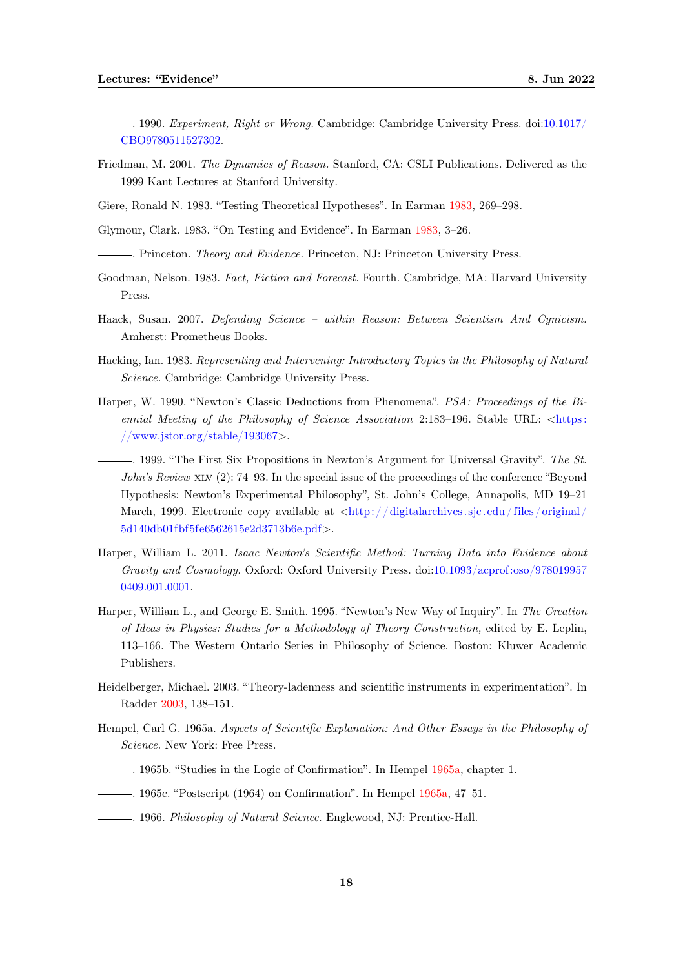- <span id="page-17-11"></span>. 1990. Experiment, Right or Wrong. Cambridge: Cambridge University Press. doi[:10.1017/](https://doi.org/10.1017/CBO9780511527302) [CBO9780511527302.](https://doi.org/10.1017/CBO9780511527302)
- <span id="page-17-10"></span>Friedman, M. 2001. The Dynamics of Reason. Stanford, CA: CSLI Publications. Delivered as the 1999 Kant Lectures at Stanford University.

<span id="page-17-15"></span>Giere, Ronald N. 1983. "Testing Theoretical Hypotheses". In Earman [1983,](#page-16-17) 269–298.

<span id="page-17-13"></span>Glymour, Clark. 1983. "On Testing and Evidence". In Earman [1983,](#page-16-17) 3–26.

<span id="page-17-12"></span>. Princeton. Theory and Evidence. Princeton, NJ: Princeton University Press.

- <span id="page-17-0"></span>Goodman, Nelson. 1983. Fact, Fiction and Forecast. Fourth. Cambridge, MA: Harvard University Press.
- <span id="page-17-4"></span>Haack, Susan. 2007. Defending Science – within Reason: Between Scientism And Cynicism. Amherst: Prometheus Books.
- <span id="page-17-5"></span>Hacking, Ian. 1983. Representing and Intervening: Introductory Topics in the Philosophy of Natural Science. Cambridge: Cambridge University Press.
- <span id="page-17-8"></span><span id="page-17-7"></span>Harper, W. 1990. "Newton's Classic Deductions from Phenomena". *PSA: Proceedings of the Bi*ennial Meeting of the Philosophy of Science Association 2:183-196. Stable URL:  $\lt$ https:  $//www.jstor.org/stable/193067.$  $//www.jstor.org/stable/193067.$ 
	- . 1999. "The First Six Propositions in Newton's Argument for Universal Gravity". The St. John's Review XLV (2): 74–93. In the special issue of the proceedings of the conference "Beyond" Hypothesis: Newton's Experimental Philosophy", St. John's College, Annapolis, MD 19–21 March, 1999. Electronic copy available at  $\langle \text{http://digitalarchives.sjc.edu/files/original/})$ [5d140db01fbf5fe6562615e2d3713b6e.pdf](http://digitalarchives.sjc.edu/files/original/5d140db01fbf5fe6562615e2d3713b6e.pdf)>.
- <span id="page-17-9"></span>Harper, William L. 2011. Isaac Newton's Scientific Method: Turning Data into Evidence about Gravity and Cosmology. Oxford: Oxford University Press. doi[:10.1093/acprof:oso/978019957](https://doi.org/10.1093/acprof:oso/9780199570409.001.0001) [0409.001.0001.](https://doi.org/10.1093/acprof:oso/9780199570409.001.0001)
- <span id="page-17-6"></span>Harper, William L., and George E. Smith. 1995. "Newton's New Way of Inquiry". In The Creation of Ideas in Physics: Studies for a Methodology of Theory Construction, edited by E. Leplin, 113–166. The Western Ontario Series in Philosophy of Science. Boston: Kluwer Academic Publishers.
- <span id="page-17-14"></span>Heidelberger, Michael. 2003. "Theory-ladenness and scientific instruments in experimentation". In Radder [2003,](#page-22-15) 138–151.
- <span id="page-17-16"></span>Hempel, Carl G. 1965a. Aspects of Scientific Explanation: And Other Essays in the Philosophy of Science. New York: Free Press.
- <span id="page-17-1"></span>. 1965b. "Studies in the Logic of Confirmation". In Hempel [1965a,](#page-17-16) chapter 1.
- <span id="page-17-2"></span>. 1965c. "Postscript (1964) on Confirmation". In Hempel [1965a,](#page-17-16) 47–51.
- <span id="page-17-3"></span>. 1966. Philosophy of Natural Science. Englewood, NJ: Prentice-Hall.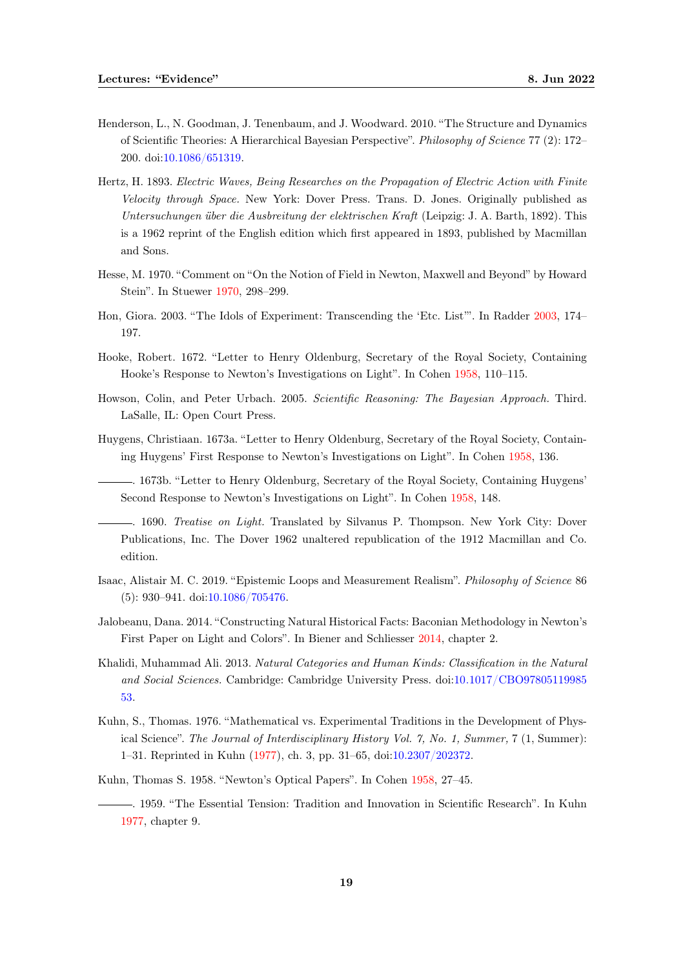- <span id="page-18-10"></span>Henderson, L., N. Goodman, J. Tenenbaum, and J. Woodward. 2010. "The Structure and Dynamics of Scientific Theories: A Hierarchical Bayesian Perspective". Philosophy of Science 77 (2): 172– 200. doi[:10.1086/651319.](https://doi.org/10.1086/651319)
- <span id="page-18-12"></span>Hertz, H. 1893. Electric Waves, Being Researches on the Propagation of Electric Action with Finite Velocity through Space. New York: Dover Press. Trans. D. Jones. Originally published as Untersuchungen über die Ausbreitung der elektrischen Kraft (Leipzig: J. A. Barth, 1892). This is a 1962 reprint of the English edition which first appeared in 1893, published by Macmillan and Sons.
- <span id="page-18-11"></span>Hesse, M. 1970. "Comment on "On the Notion of Field in Newton, Maxwell and Beyond" by Howard Stein". In Stuewer [1970,](#page-24-14) 298–299.
- <span id="page-18-14"></span>Hon, Giora. 2003. "The Idols of Experiment: Transcending the 'Etc. List'". In Radder [2003,](#page-22-15) 174– 197.
- <span id="page-18-4"></span>Hooke, Robert. 1672. "Letter to Henry Oldenburg, Secretary of the Royal Society, Containing Hooke's Response to Newton's Investigations on Light". In Cohen [1958,](#page-15-10) 110–115.
- <span id="page-18-13"></span>Howson, Colin, and Peter Urbach. 2005. Scientific Reasoning: The Bayesian Approach. Third. LaSalle, IL: Open Court Press.
- <span id="page-18-5"></span>Huygens, Christiaan. 1673a. "Letter to Henry Oldenburg, Secretary of the Royal Society, Containing Huygens' First Response to Newton's Investigations on Light". In Cohen [1958,](#page-15-10) 136.
- <span id="page-18-7"></span><span id="page-18-6"></span>. 1673b. "Letter to Henry Oldenburg, Secretary of the Royal Society, Containing Huygens' Second Response to Newton's Investigations on Light". In Cohen [1958,](#page-15-10) 148.
	- . 1690. Treatise on Light. Translated by Silvanus P. Thompson. New York City: Dover Publications, Inc. The Dover 1962 unaltered republication of the 1912 Macmillan and Co. edition.
- <span id="page-18-1"></span>Isaac, Alistair M. C. 2019. "Epistemic Loops and Measurement Realism". Philosophy of Science 86 (5): 930–941. doi[:10.1086/705476.](https://doi.org/10.1086/705476)
- <span id="page-18-8"></span>Jalobeanu, Dana. 2014. "Constructing Natural Historical Facts: Baconian Methodology in Newton's First Paper on Light and Colors". In Biener and Schliesser [2014,](#page-14-15) chapter 2.
- <span id="page-18-3"></span>Khalidi, Muhammad Ali. 2013. Natural Categories and Human Kinds: Classification in the Natural and Social Sciences. Cambridge: Cambridge University Press. doi[:10.1017/CBO97805119985](https://doi.org/10.1017/CBO9780511998553) [53.](https://doi.org/10.1017/CBO9780511998553)
- <span id="page-18-9"></span>Kuhn, S., Thomas. 1976. "Mathematical vs. Experimental Traditions in the Development of Physical Science". The Journal of Interdisciplinary History Vol. 7, No. 1, Summer, 7 (1, Summer): 1–31. Reprinted in Kuhn [\(1977\)](#page-19-14), ch. 3, pp. 31–65, doi[:10.2307/202372.](https://doi.org/10.2307/202372)
- <span id="page-18-0"></span>Kuhn, Thomas S. 1958. "Newton's Optical Papers". In Cohen [1958,](#page-15-10) 27–45.
- <span id="page-18-2"></span>. 1959. "The Essential Tension: Tradition and Innovation in Scientific Research". In Kuhn [1977,](#page-19-14) chapter 9.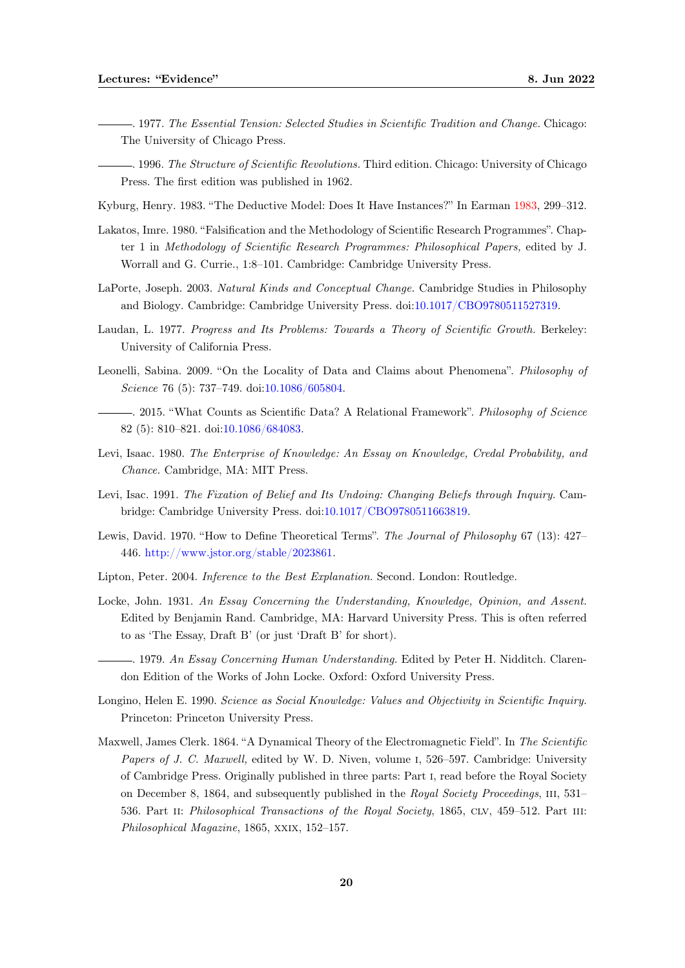- <span id="page-19-14"></span>. 1977. The Essential Tension: Selected Studies in Scientific Tradition and Change. Chicago: The University of Chicago Press.
- <span id="page-19-3"></span>-. 1996. The Structure of Scientific Revolutions. Third edition. Chicago: University of Chicago Press. The first edition was published in 1962.
- Kyburg, Henry. 1983. "The Deductive Model: Does It Have Instances?" In Earman [1983,](#page-16-17) 299–312.
- <span id="page-19-10"></span>Lakatos, Imre. 1980. "Falsification and the Methodology of Scientific Research Programmes". Chapter 1 in Methodology of Scientific Research Programmes: Philosophical Papers, edited by J. Worrall and G. Currie., 1:8–101. Cambridge: Cambridge University Press.
- <span id="page-19-8"></span>LaPorte, Joseph. 2003. Natural Kinds and Conceptual Change. Cambridge Studies in Philosophy and Biology. Cambridge: Cambridge University Press. doi[:10.1017/CBO9780511527319.](https://doi.org/10.1017/CBO9780511527319)
- <span id="page-19-11"></span>Laudan, L. 1977. Progress and Its Problems: Towards a Theory of Scientific Growth. Berkeley: University of California Press.
- <span id="page-19-4"></span>Leonelli, Sabina. 2009. "On the Locality of Data and Claims about Phenomena". Philosophy of Science 76 (5): 737-749. doi[:10.1086/605804.](https://doi.org/10.1086/605804)
- <span id="page-19-5"></span>. 2015. "What Counts as Scientific Data? A Relational Framework". Philosophy of Science 82 (5): 810–821. doi[:10.1086/684083.](https://doi.org/10.1086/684083)
- <span id="page-19-0"></span>Levi, Isaac. 1980. The Enterprise of Knowledge: An Essay on Knowledge, Credal Probability, and Chance. Cambridge, MA: MIT Press.
- <span id="page-19-1"></span>Levi, Isac. 1991. The Fixation of Belief and Its Undoing: Changing Beliefs through Inquiry. Cambridge: Cambridge University Press. doi[:10.1017/CBO9780511663819.](https://doi.org/10.1017/CBO9780511663819)
- <span id="page-19-9"></span>Lewis, David. 1970. "How to Define Theoretical Terms". The Journal of Philosophy 67 (13): 427– 446. [http://www.jstor.org/stable/2023861.](http://www.jstor.org/stable/2023861)
- <span id="page-19-12"></span>Lipton, Peter. 2004. Inference to the Best Explanation. Second. London: Routledge.
- <span id="page-19-6"></span>Locke, John. 1931. An Essay Concerning the Understanding, Knowledge, Opinion, and Assent. Edited by Benjamin Rand. Cambridge, MA: Harvard University Press. This is often referred to as 'The Essay, Draft B' (or just 'Draft B' for short).
	- ... 1979. An Essay Concerning Human Understanding. Edited by Peter H. Nidditch. Clarendon Edition of the Works of John Locke. Oxford: Oxford University Press.
- <span id="page-19-7"></span><span id="page-19-2"></span>Longino, Helen E. 1990. Science as Social Knowledge: Values and Objectivity in Scientific Inquiry. Princeton: Princeton University Press.
- <span id="page-19-13"></span>Maxwell, James Clerk. 1864. "A Dynamical Theory of the Electromagnetic Field". In The Scientific Papers of J. C. Maxwell, edited by W. D. Niven, volume 1, 526–597. Cambridge: University of Cambridge Press. Originally published in three parts: Part i, read before the Royal Society on December 8, 1864, and subsequently published in the Royal Society Proceedings, III, 531– 536. Part II: Philosophical Transactions of the Royal Society, 1865, CLV, 459-512. Part III: Philosophical Magazine, 1865, xxix, 152–157.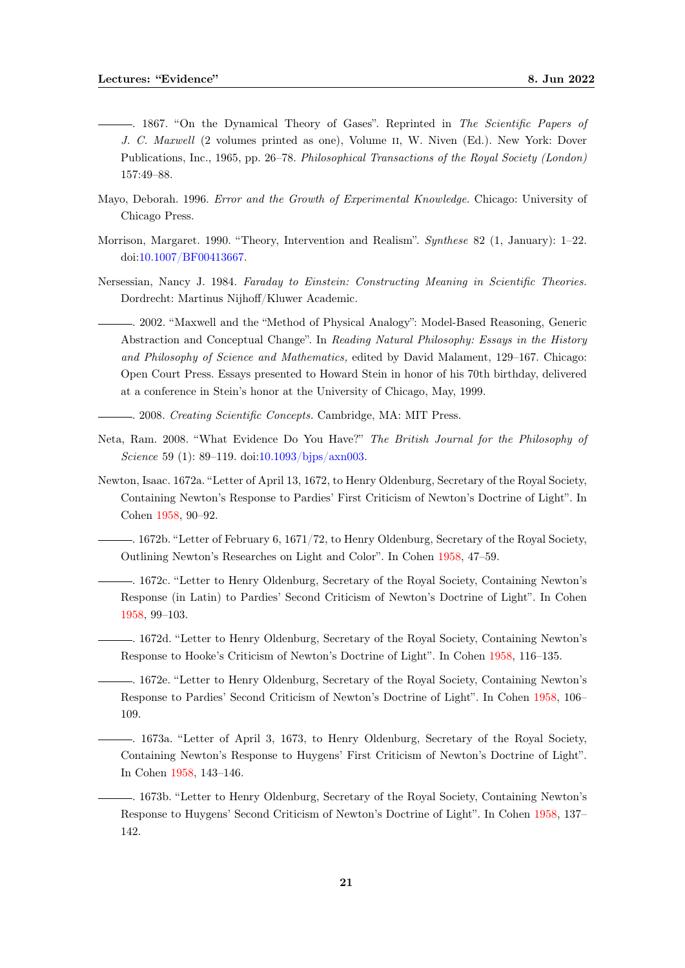- <span id="page-20-8"></span>... 1867. "On the Dynamical Theory of Gases". Reprinted in The Scientific Papers of J. C. Maxwell (2 volumes printed as one), Volume ii, W. Niven (Ed.). New York: Dover Publications, Inc., 1965, pp. 26–78. Philosophical Transactions of the Royal Society (London) 157:49–88.
- <span id="page-20-0"></span>Mayo, Deborah. 1996. Error and the Growth of Experimental Knowledge. Chicago: University of Chicago Press.
- Morrison, Margaret. 1990. "Theory, Intervention and Realism". Synthese 82 (1, January): 1–22. doi[:10.1007/BF00413667.](https://doi.org/10.1007/BF00413667)
- <span id="page-20-10"></span><span id="page-20-9"></span>Nersessian, Nancy J. 1984. Faraday to Einstein: Constructing Meaning in Scientific Theories. Dordrecht: Martinus Nijhoff/Kluwer Academic.
	- . 2002. "Maxwell and the "Method of Physical Analogy": Model-Based Reasoning, Generic Abstraction and Conceptual Change". In Reading Natural Philosophy: Essays in the History and Philosophy of Science and Mathematics, edited by David Malament, 129–167. Chicago: Open Court Press. Essays presented to Howard Stein in honor of his 70th birthday, delivered at a conference in Stein's honor at the University of Chicago, May, 1999.
		- -. 2008. Creating Scientific Concepts. Cambridge, MA: MIT Press.
- <span id="page-20-12"></span><span id="page-20-11"></span>Neta, Ram. 2008. "What Evidence Do You Have?" The British Journal for the Philosophy of Science 59 (1): 89–119. doi[:10.1093/bjps/axn003.](https://doi.org/10.1093/bjps/axn003)
- <span id="page-20-3"></span><span id="page-20-1"></span>Newton, Isaac. 1672a. "Letter of April 13, 1672, to Henry Oldenburg, Secretary of the Royal Society, Containing Newton's Response to Pardies' First Criticism of Newton's Doctrine of Light". In Cohen [1958,](#page-15-10) 90–92.
	- . 1672b. "Letter of February 6, 1671/72, to Henry Oldenburg, Secretary of the Royal Society, Outlining Newton's Researches on Light and Color". In Cohen [1958,](#page-15-10) 47–59.
	- . 1672c. "Letter to Henry Oldenburg, Secretary of the Royal Society, Containing Newton's Response (in Latin) to Pardies' Second Criticism of Newton's Doctrine of Light". In Cohen [1958,](#page-15-10) 99–103.
- <span id="page-20-5"></span><span id="page-20-2"></span>. 1672d. "Letter to Henry Oldenburg, Secretary of the Royal Society, Containing Newton's Response to Hooke's Criticism of Newton's Doctrine of Light". In Cohen [1958,](#page-15-10) 116–135.
- <span id="page-20-4"></span>. 1672e. "Letter to Henry Oldenburg, Secretary of the Royal Society, Containing Newton's Response to Pardies' Second Criticism of Newton's Doctrine of Light". In Cohen [1958,](#page-15-10) 106– 109.
- <span id="page-20-6"></span>. 1673a. "Letter of April 3, 1673, to Henry Oldenburg, Secretary of the Royal Society, Containing Newton's Response to Huygens' First Criticism of Newton's Doctrine of Light". In Cohen [1958,](#page-15-10) 143–146.
- <span id="page-20-7"></span>. 1673b. "Letter to Henry Oldenburg, Secretary of the Royal Society, Containing Newton's Response to Huygens' Second Criticism of Newton's Doctrine of Light". In Cohen [1958,](#page-15-10) 137– 142.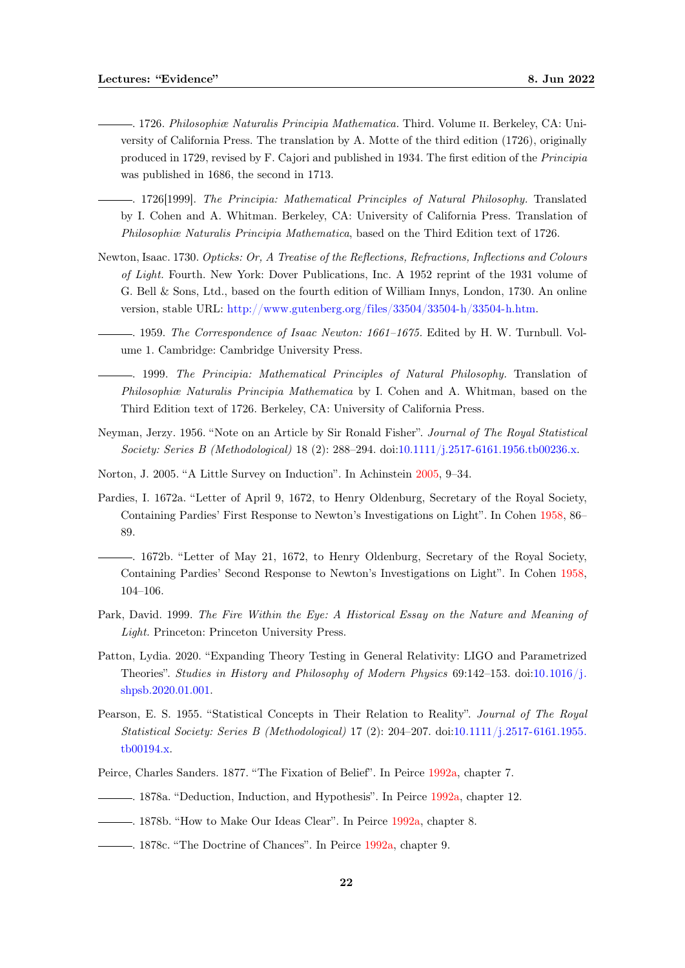- <span id="page-21-7"></span>. 1726. Philosophiæ Naturalis Principia Mathematica. Third. Volume ii. Berkeley, CA: University of California Press. The translation by A. Motte of the third edition (1726), originally produced in 1729, revised by F. Cajori and published in 1934. The first edition of the Principia was published in 1686, the second in 1713.
- . 1726[1999]. The Principia: Mathematical Principles of Natural Philosophy. Translated by I. Cohen and A. Whitman. Berkeley, CA: University of California Press. Translation of Philosophiæ Naturalis Principia Mathematica, based on the Third Edition text of 1726.
- <span id="page-21-8"></span>Newton, Isaac. 1730. Opticks: Or, A Treatise of the Reflections, Refractions, Inflections and Colours of Light. Fourth. New York: Dover Publications, Inc. A 1952 reprint of the 1931 volume of G. Bell & Sons, Ltd., based on the fourth edition of William Innys, London, 1730. An online version, stable URL: [http://www.gutenberg.org/files/33504/33504-h/33504-h.htm.](http://www.gutenberg.org/files/33504/33504-h/33504-h.htm)
- <span id="page-21-12"></span><span id="page-21-11"></span>... 1959. The Correspondence of Isaac Newton: 1661–1675. Edited by H. W. Turnbull. Volume 1. Cambridge: Cambridge University Press.
	- . 1999. The Principia: Mathematical Principles of Natural Philosophy. Translation of Philosophiæ Naturalis Principia Mathematica by I. Cohen and A. Whitman, based on the Third Edition text of 1726. Berkeley, CA: University of California Press.
- <span id="page-21-0"></span>Neyman, Jerzy. 1956. "Note on an Article by Sir Ronald Fisher". Journal of The Royal Statistical Society: Series B (Methodological) 18 (2): 288-294. doi[:10.1111/j.2517-6161.1956.tb00236.x.](https://doi.org/10.1111/j.2517-6161.1956.tb00236.x)
- <span id="page-21-13"></span>Norton, J. 2005. "A Little Survey on Induction". In Achinstein [2005,](#page-14-13) 9–34.
- <span id="page-21-10"></span><span id="page-21-9"></span>Pardies, I. 1672a. "Letter of April 9, 1672, to Henry Oldenburg, Secretary of the Royal Society, Containing Pardies' First Response to Newton's Investigations on Light". In Cohen [1958,](#page-15-10) 86– 89.
	- . 1672b. "Letter of May 21, 1672, to Henry Oldenburg, Secretary of the Royal Society, Containing Pardies' Second Response to Newton's Investigations on Light". In Cohen [1958,](#page-15-10) 104–106.
- <span id="page-21-6"></span>Park, David. 1999. The Fire Within the Eye: A Historical Essay on the Nature and Meaning of Light. Princeton: Princeton University Press.
- <span id="page-21-14"></span>Patton, Lydia. 2020. "Expanding Theory Testing in General Relativity: LIGO and Parametrized Theories". Studies in History and Philosophy of Modern Physics 69:142–153. doi[:10.1016/j.](https://doi.org/10.1016/j.shpsb.2020.01.001) [shpsb.2020.01.001.](https://doi.org/10.1016/j.shpsb.2020.01.001)
- <span id="page-21-1"></span>Pearson, E. S. 1955. "Statistical Concepts in Their Relation to Reality". Journal of The Royal Statistical Society: Series B (Methodological) 17 (2): 204–207. doi[:10.1111/j.2517-6161.1955.](https://doi.org/10.1111/j.2517-6161.1955.tb00194.x) [tb00194.x.](https://doi.org/10.1111/j.2517-6161.1955.tb00194.x)
- <span id="page-21-2"></span>Peirce, Charles Sanders. 1877. "The Fixation of Belief". In Peirce [1992a,](#page-22-16) chapter 7.
- <span id="page-21-5"></span>. 1878a. "Deduction, Induction, and Hypothesis". In Peirce [1992a,](#page-22-16) chapter 12.
- <span id="page-21-3"></span>. 1878b. "How to Make Our Ideas Clear". In Peirce [1992a,](#page-22-16) chapter 8.
- <span id="page-21-4"></span>. 1878c. "The Doctrine of Chances". In Peirce [1992a,](#page-22-16) chapter 9.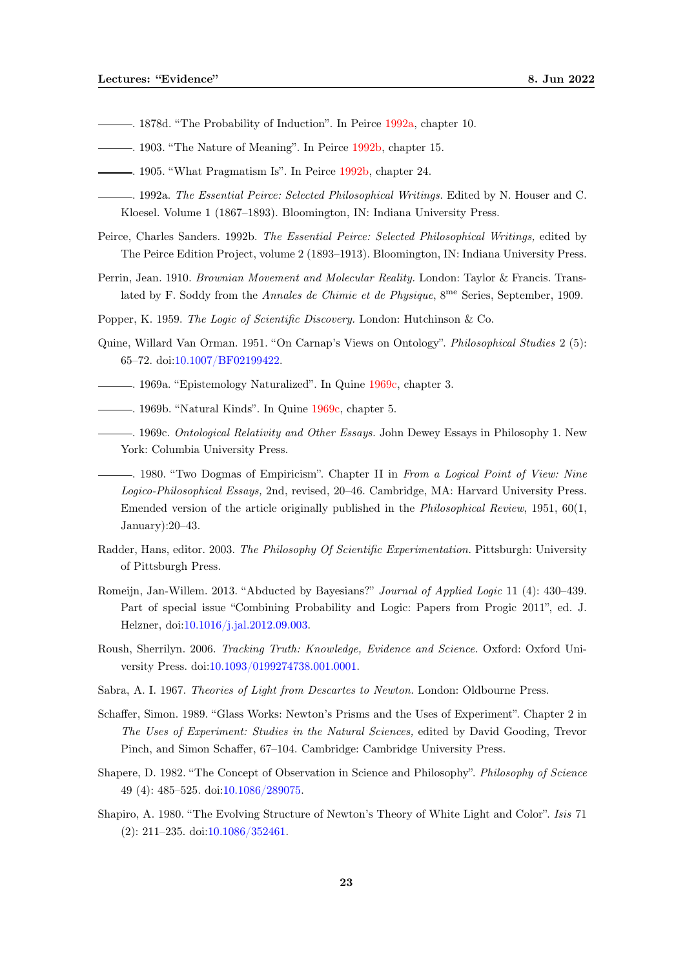- <span id="page-22-0"></span>. 1878d. "The Probability of Induction". In Peirce [1992a,](#page-22-16) chapter 10.
- <span id="page-22-1"></span>. 1903. "The Nature of Meaning". In Peirce [1992b,](#page-22-17) chapter 15.
- <span id="page-22-2"></span>. 1905. "What Pragmatism Is". In Peirce [1992b,](#page-22-17) chapter 24.
- <span id="page-22-16"></span>. 1992a. The Essential Peirce: Selected Philosophical Writings. Edited by N. Houser and C. Kloesel. Volume 1 (1867–1893). Bloomington, IN: Indiana University Press.
- <span id="page-22-17"></span>Peirce, Charles Sanders. 1992b. The Essential Peirce: Selected Philosophical Writings, edited by The Peirce Edition Project, volume 2 (1893–1913). Bloomington, IN: Indiana University Press.
- <span id="page-22-13"></span>Perrin, Jean. 1910. Brownian Movement and Molecular Reality. London: Taylor & Francis. Translated by F. Soddy from the Annales de Chimie et de Physique, 8me Series, September, 1909.
- <span id="page-22-3"></span>Popper, K. 1959. The Logic of Scientific Discovery. London: Hutchinson & Co.
- <span id="page-22-12"></span>Quine, Willard Van Orman. 1951. "On Carnap's Views on Ontology". Philosophical Studies 2 (5): 65–72. doi[:10.1007/BF02199422.](https://doi.org/10.1007/BF02199422)
- <span id="page-22-4"></span>. 1969a. "Epistemology Naturalized". In Quine [1969c,](#page-22-18) chapter 3.
- <span id="page-22-7"></span>. 1969b. "Natural Kinds". In Quine [1969c,](#page-22-18) chapter 5.
- <span id="page-22-18"></span>. 1969c. Ontological Relativity and Other Essays. John Dewey Essays in Philosophy 1. New York: Columbia University Press.
- <span id="page-22-11"></span>. 1980. "Two Dogmas of Empiricism". Chapter II in From a Logical Point of View: Nine Logico-Philosophical Essays, 2nd, revised, 20–46. Cambridge, MA: Harvard University Press. Emended version of the article originally published in the Philosophical Review, 1951, 60(1, January):20–43.
- <span id="page-22-15"></span>Radder, Hans, editor. 2003. The Philosophy Of Scientific Experimentation. Pittsburgh: University of Pittsburgh Press.
- <span id="page-22-10"></span>Romeijn, Jan-Willem. 2013. "Abducted by Bayesians?" Journal of Applied Logic 11 (4): 430–439. Part of special issue "Combining Probability and Logic: Papers from Progic 2011", ed. J. Helzner, doi[:10.1016/j.jal.2012.09.003.](https://doi.org/10.1016/j.jal.2012.09.003)
- <span id="page-22-5"></span>Roush, Sherrilyn. 2006. Tracking Truth: Knowledge, Evidence and Science. Oxford: Oxford University Press. doi[:10.1093/0199274738.001.0001.](https://doi.org/10.1093/0199274738.001.0001)
- <span id="page-22-6"></span>Sabra, A. I. 1967. Theories of Light from Descartes to Newton. London: Oldbourne Press.
- <span id="page-22-8"></span>Schaffer, Simon. 1989. "Glass Works: Newton's Prisms and the Uses of Experiment". Chapter 2 in The Uses of Experiment: Studies in the Natural Sciences, edited by David Gooding, Trevor Pinch, and Simon Schaffer, 67–104. Cambridge: Cambridge University Press.
- <span id="page-22-14"></span>Shapere, D. 1982. "The Concept of Observation in Science and Philosophy". Philosophy of Science 49 (4): 485–525. doi[:10.1086/289075.](https://doi.org/10.1086/289075)
- <span id="page-22-9"></span>Shapiro, A. 1980. "The Evolving Structure of Newton's Theory of White Light and Color". Isis 71 (2): 211–235. doi[:10.1086/352461.](https://doi.org/10.1086/352461)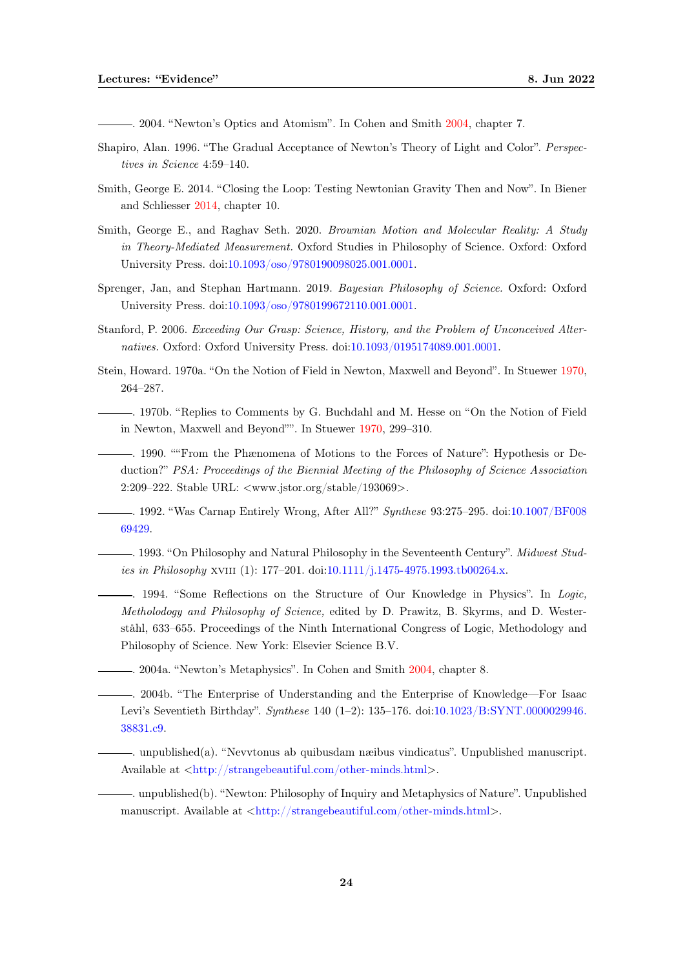<span id="page-23-7"></span>. 2004. "Newton's Optics and Atomism". In Cohen and Smith [2004,](#page-15-14) chapter 7.

- <span id="page-23-6"></span>Shapiro, Alan. 1996. "The Gradual Acceptance of Newton's Theory of Light and Color". Perspectives in Science 4:59–140.
- <span id="page-23-8"></span>Smith, George E. 2014. "Closing the Loop: Testing Newtonian Gravity Then and Now". In Biener and Schliesser [2014,](#page-14-15) chapter 10.
- <span id="page-23-0"></span>Smith, George E., and Raghav Seth. 2020. Brownian Motion and Molecular Reality: A Study in Theory-Mediated Measurement. Oxford Studies in Philosophy of Science. Oxford: Oxford University Press. doi[:10.1093/oso/9780190098025.001.0001.](https://doi.org/10.1093/oso/9780190098025.001.0001)
- <span id="page-23-14"></span>Sprenger, Jan, and Stephan Hartmann. 2019. Bayesian Philosophy of Science. Oxford: Oxford University Press. doi[:10.1093/oso/9780199672110.001.0001.](https://doi.org/10.1093/oso/9780199672110.001.0001)
- <span id="page-23-12"></span>Stanford, P. 2006. Exceeding Our Grasp: Science, History, and the Problem of Unconceived Alternatives. Oxford: Oxford University Press. doi[:10.1093/0195174089.001.0001.](https://doi.org/10.1093/0195174089.001.0001)
- <span id="page-23-13"></span>Stein, Howard. 1970a. "On the Notion of Field in Newton, Maxwell and Beyond". In Stuewer [1970,](#page-24-14) 264–287.
- . 1970b. "Replies to Comments by G. Buchdahl and M. Hesse on "On the Notion of Field in Newton, Maxwell and Beyond"". In Stuewer [1970,](#page-24-14) 299–310.
- <span id="page-23-9"></span>. 1990. ""From the Phænomena of Motions to the Forces of Nature": Hypothesis or Deduction?" PSA: Proceedings of the Biennial Meeting of the Philosophy of Science Association 2:209–222. Stable URL: <www.jstor.org/stable/193069>.
- <span id="page-23-11"></span> $\ldots$ . 1992. "Was Carnap Entirely Wrong, After All?" Synthese 93:275–295. doi[:10.1007/BF008](https://doi.org/10.1007/BF00869429) [69429.](https://doi.org/10.1007/BF00869429)
- <span id="page-23-10"></span><span id="page-23-2"></span>. 1993. "On Philosophy and Natural Philosophy in the Seventeenth Century". Midwest Stud-ies in Philosophy XVIII (1): 177-201. doi[:10.1111/j.1475-4975.1993.tb00264.x.](https://doi.org/10.1111/j.1475-4975.1993.tb00264.x)
	- . 1994. "Some Reflections on the Structure of Our Knowledge in Physics". In Logic, Metholodogy and Philosophy of Science, edited by D. Prawitz, B. Skyrms, and D. Westerståhl, 633–655. Proceedings of the Ninth International Congress of Logic, Methodology and Philosophy of Science. New York: Elsevier Science B.V.
- <span id="page-23-3"></span><span id="page-23-1"></span>. 2004a. "Newton's Metaphysics". In Cohen and Smith [2004,](#page-15-14) chapter 8.
	- . 2004b. "The Enterprise of Understanding and the Enterprise of Knowledge—For Isaac Levi's Seventieth Birthday". Synthese 140 (1–2): 135–176. doi[:10.1023/B:SYNT.0000029946.](https://doi.org/10.1023/B:SYNT.0000029946.38831.c9) [38831.c9.](https://doi.org/10.1023/B:SYNT.0000029946.38831.c9)
- <span id="page-23-4"></span>. unpublished(a). "Nevvtonus ab quibusdam næibus vindicatus". Unpublished manuscript. Available at  $\langle \text{http://strangebeautiful.com/other-minds.html}\rangle$  $\langle \text{http://strangebeautiful.com/other-minds.html}\rangle$  $\langle \text{http://strangebeautiful.com/other-minds.html}\rangle$ .
- <span id="page-23-5"></span>. unpublished(b). "Newton: Philosophy of Inquiry and Metaphysics of Nature". Unpublished manuscript. Available at <<http://strangebeautiful.com/other-minds.html>>.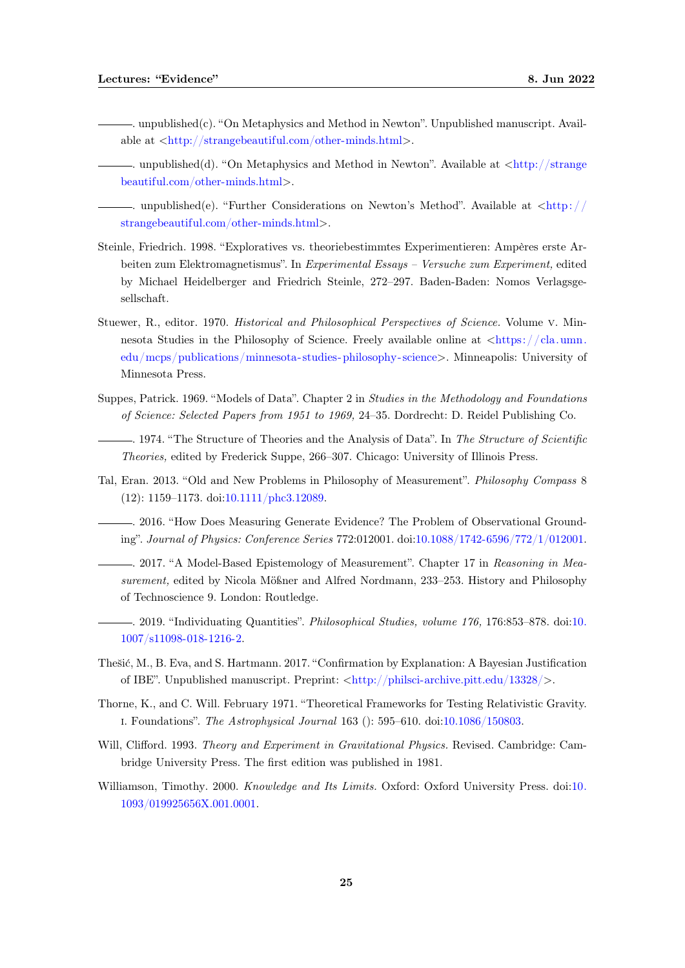- <span id="page-24-9"></span>. unpublished(c). "On Metaphysics and Method in Newton". Unpublished manuscript. Available at  $\langle$ <http://strangebeautiful.com/other-minds.html>>.
- <span id="page-24-4"></span> $-$ , unpublished(d). "On Metaphysics and Method in Newton". Available at  $\langle \text{http://strange} \rangle$  $\langle \text{http://strange} \rangle$  $\langle \text{http://strange} \rangle$ [beautiful.com/other-minds.html](http://strangebeautiful.com/other-minds.html)>.
- <span id="page-24-5"></span> $\sim$  unpublished(e). "Further Considerations on Newton's Method". Available at  $\langle \text{http://} \rangle$ [strangebeautiful.com/other-minds.html](http://strangebeautiful.com/other-minds.html)>.
- <span id="page-24-13"></span>Steinle, Friedrich. 1998. "Exploratives vs. theoriebestimmtes Experimentieren: Ampères erste Arbeiten zum Elektromagnetismus". In Experimental Essays – Versuche zum Experiment, edited by Michael Heidelberger and Friedrich Steinle, 272–297. Baden-Baden: Nomos Verlagsgesellschaft.
- <span id="page-24-14"></span>Stuewer, R., editor. 1970. Historical and Philosophical Perspectives of Science. Volume v. Minnesota Studies in the Philosophy of Science. Freely available online at  $\langle$ [https://cla.umn.](https://cla.umn.edu/mcps/publications/minnesota-studies-philosophy-science) [edu/mcps/publications/minnesota- studies-philosophy- science](https://cla.umn.edu/mcps/publications/minnesota-studies-philosophy-science)>. Minneapolis: University of Minnesota Press.
- <span id="page-24-6"></span><span id="page-24-1"></span>Suppes, Patrick. 1969. "Models of Data". Chapter 2 in Studies in the Methodology and Foundations of Science: Selected Papers from 1951 to 1969, 24–35. Dordrecht: D. Reidel Publishing Co.
	- -. 1974. "The Structure of Theories and the Analysis of Data". In The Structure of Scientific Theories, edited by Frederick Suppe, 266–307. Chicago: University of Illinois Press.
- <span id="page-24-3"></span><span id="page-24-2"></span>Tal, Eran. 2013. "Old and New Problems in Philosophy of Measurement". Philosophy Compass 8 (12): 1159–1173. doi[:10.1111/phc3.12089.](https://doi.org/10.1111/phc3.12089)
	- . 2016. "How Does Measuring Generate Evidence? The Problem of Observational Grounding". Journal of Physics: Conference Series 772:012001. doi[:10.1088/1742-6596/772/1/012001.](https://doi.org/10.1088/1742-6596/772/1/012001)
- <span id="page-24-7"></span>. 2017. "A Model-Based Epistemology of Measurement". Chapter 17 in Reasoning in Measurement, edited by Nicola Mößner and Alfred Nordmann, 233–253. History and Philosophy of Technoscience 9. London: Routledge.
- <span id="page-24-8"></span>... 2019. "Individuating Quantities". *Philosophical Studies, volume 176,* 176:853–878. doi[:10.](https://doi.org/10.1007/s11098-018-1216-2) [1007/s11098-018-1216-2.](https://doi.org/10.1007/s11098-018-1216-2)
- <span id="page-24-12"></span>The˘sić, M., B. Eva, and S. Hartmann. 2017. "Confirmation by Explanation: A Bayesian Justification of IBE". Unpublished manuscript. Preprint: <<http://philsci-archive.pitt.edu/13328/>>.
- <span id="page-24-10"></span>Thorne, K., and C. Will. February 1971. "Theoretical Frameworks for Testing Relativistic Gravity. i. Foundations". The Astrophysical Journal 163 (): 595–610. doi[:10.1086/150803.](https://doi.org/10.1086/150803)
- <span id="page-24-11"></span>Will, Clifford. 1993. Theory and Experiment in Gravitational Physics. Revised. Cambridge: Cambridge University Press. The first edition was published in 1981.
- <span id="page-24-0"></span>Williamson, Timothy. 2000. Knowledge and Its Limits. Oxford: Oxford University Press. doi[:10.](https://doi.org/10.1093/019925656X.001.0001) [1093/019925656X.001.0001.](https://doi.org/10.1093/019925656X.001.0001)